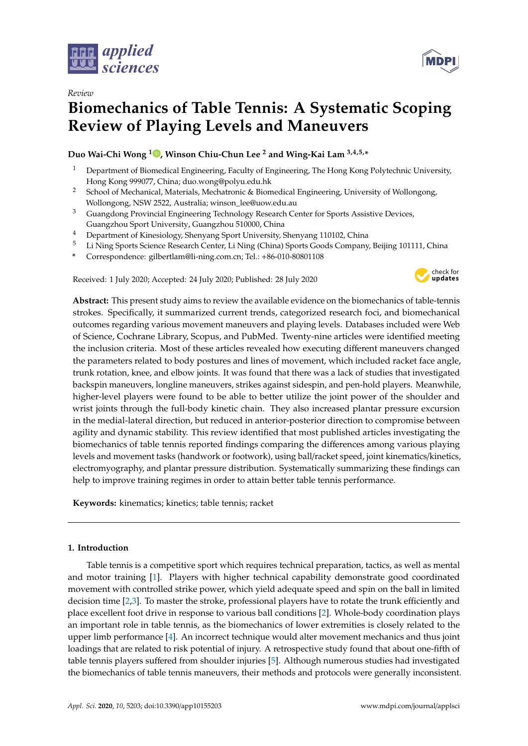



# **Biomechanics of Table Tennis: A Systematic Scoping Review of Playing Levels and Maneuvers**

## **Duo Wai-Chi Wong <sup>1</sup> [,](https://orcid.org/0000-0002-8805-1157) Winson Chiu-Chun Lee <sup>2</sup> and Wing-Kai Lam 3,4,5,\***

- <sup>1</sup> Department of Biomedical Engineering, Faculty of Engineering, The Hong Kong Polytechnic University, Hong Kong 999077, China; duo.wong@polyu.edu.hk
- <sup>2</sup> School of Mechanical, Materials, Mechatronic & Biomedical Engineering, University of Wollongong, Wollongong, NSW 2522, Australia; winson\_lee@uow.edu.au
- <sup>3</sup> Guangdong Provincial Engineering Technology Research Center for Sports Assistive Devices, Guangzhou Sport University, Guangzhou 510000, China
- <sup>4</sup> Department of Kinesiology, Shenyang Sport University, Shenyang 110102, China
- <sup>5</sup> Li Ning Sports Science Research Center, Li Ning (China) Sports Goods Company, Beijing 101111, China
- **\*** Correspondence: gilbertlam@li-ning.com.cn; Tel.: +86-010-80801108

Received: 1 July 2020; Accepted: 24 July 2020; Published: 28 July 2020



**MDPI** 

**Abstract:** This present study aims to review the available evidence on the biomechanics of table-tennis strokes. Specifically, it summarized current trends, categorized research foci, and biomechanical outcomes regarding various movement maneuvers and playing levels. Databases included were Web of Science, Cochrane Library, Scopus, and PubMed. Twenty-nine articles were identified meeting the inclusion criteria. Most of these articles revealed how executing different maneuvers changed the parameters related to body postures and lines of movement, which included racket face angle, trunk rotation, knee, and elbow joints. It was found that there was a lack of studies that investigated backspin maneuvers, longline maneuvers, strikes against sidespin, and pen-hold players. Meanwhile, higher-level players were found to be able to better utilize the joint power of the shoulder and wrist joints through the full-body kinetic chain. They also increased plantar pressure excursion in the medial-lateral direction, but reduced in anterior-posterior direction to compromise between agility and dynamic stability. This review identified that most published articles investigating the biomechanics of table tennis reported findings comparing the differences among various playing levels and movement tasks (handwork or footwork), using ball/racket speed, joint kinematics/kinetics, electromyography, and plantar pressure distribution. Systematically summarizing these findings can help to improve training regimes in order to attain better table tennis performance.

**Keywords:** kinematics; kinetics; table tennis; racket

#### **1. Introduction**

Table tennis is a competitive sport which requires technical preparation, tactics, as well as mental and motor training [\[1\]](#page-18-0). Players with higher technical capability demonstrate good coordinated movement with controlled strike power, which yield adequate speed and spin on the ball in limited decision time [\[2](#page-18-1)[,3\]](#page-18-2). To master the stroke, professional players have to rotate the trunk efficiently and place excellent foot drive in response to various ball conditions [\[2\]](#page-18-1). Whole-body coordination plays an important role in table tennis, as the biomechanics of lower extremities is closely related to the upper limb performance [\[4\]](#page-18-3). An incorrect technique would alter movement mechanics and thus joint loadings that are related to risk potential of injury. A retrospective study found that about one-fifth of table tennis players suffered from shoulder injuries [\[5\]](#page-18-4). Although numerous studies had investigated the biomechanics of table tennis maneuvers, their methods and protocols were generally inconsistent.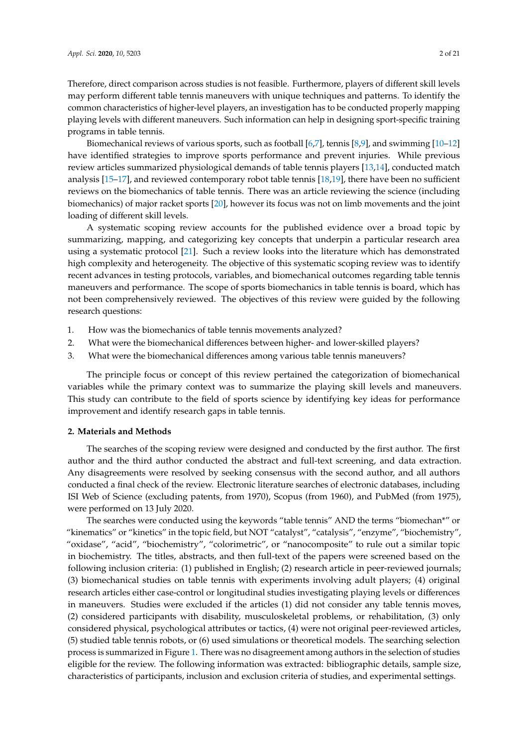Therefore, direct comparison across studies is not feasible. Furthermore, players of different skill levels may perform different table tennis maneuvers with unique techniques and patterns. To identify the common characteristics of higher-level players, an investigation has to be conducted properly mapping playing levels with different maneuvers. Such information can help in designing sport-specific training programs in table tennis.

Biomechanical reviews of various sports, such as football [\[6,](#page-18-5)[7\]](#page-18-6), tennis [\[8,](#page-18-7)[9\]](#page-18-8), and swimming [\[10–](#page-19-0)[12\]](#page-19-1) have identified strategies to improve sports performance and prevent injuries. While previous review articles summarized physiological demands of table tennis players [\[13,](#page-19-2)[14\]](#page-19-3), conducted match analysis [\[15–](#page-19-4)[17\]](#page-19-5), and reviewed contemporary robot table tennis [\[18,](#page-19-6)[19\]](#page-19-7), there have been no sufficient reviews on the biomechanics of table tennis. There was an article reviewing the science (including biomechanics) of major racket sports [\[20\]](#page-19-8), however its focus was not on limb movements and the joint loading of different skill levels.

A systematic scoping review accounts for the published evidence over a broad topic by summarizing, mapping, and categorizing key concepts that underpin a particular research area using a systematic protocol [\[21\]](#page-19-9). Such a review looks into the literature which has demonstrated high complexity and heterogeneity. The objective of this systematic scoping review was to identify recent advances in testing protocols, variables, and biomechanical outcomes regarding table tennis maneuvers and performance. The scope of sports biomechanics in table tennis is board, which has not been comprehensively reviewed. The objectives of this review were guided by the following research questions:

- 1. How was the biomechanics of table tennis movements analyzed?
- 2. What were the biomechanical differences between higher- and lower-skilled players?
- 3. What were the biomechanical differences among various table tennis maneuvers?

The principle focus or concept of this review pertained the categorization of biomechanical variables while the primary context was to summarize the playing skill levels and maneuvers. This study can contribute to the field of sports science by identifying key ideas for performance improvement and identify research gaps in table tennis.

#### **2. Materials and Methods**

The searches of the scoping review were designed and conducted by the first author. The first author and the third author conducted the abstract and full-text screening, and data extraction. Any disagreements were resolved by seeking consensus with the second author, and all authors conducted a final check of the review. Electronic literature searches of electronic databases, including ISI Web of Science (excluding patents, from 1970), Scopus (from 1960), and PubMed (from 1975), were performed on 13 July 2020.

The searches were conducted using the keywords "table tennis" AND the terms "biomechan\*" or "kinematics" or "kinetics" in the topic field, but NOT "catalyst", "catalysis", "enzyme", "biochemistry", "oxidase", "acid", "biochemistry", "colorimetric", or "nanocomposite" to rule out a similar topic in biochemistry. The titles, abstracts, and then full-text of the papers were screened based on the following inclusion criteria: (1) published in English; (2) research article in peer-reviewed journals; (3) biomechanical studies on table tennis with experiments involving adult players; (4) original research articles either case-control or longitudinal studies investigating playing levels or differences in maneuvers. Studies were excluded if the articles (1) did not consider any table tennis moves, (2) considered participants with disability, musculoskeletal problems, or rehabilitation, (3) only considered physical, psychological attributes or tactics, (4) were not original peer-reviewed articles, (5) studied table tennis robots, or (6) used simulations or theoretical models. The searching selection process is summarized in Figure [1.](#page-2-0) There was no disagreement among authors in the selection of studies eligible for the review. The following information was extracted: bibliographic details, sample size, characteristics of participants, inclusion and exclusion criteria of studies, and experimental settings.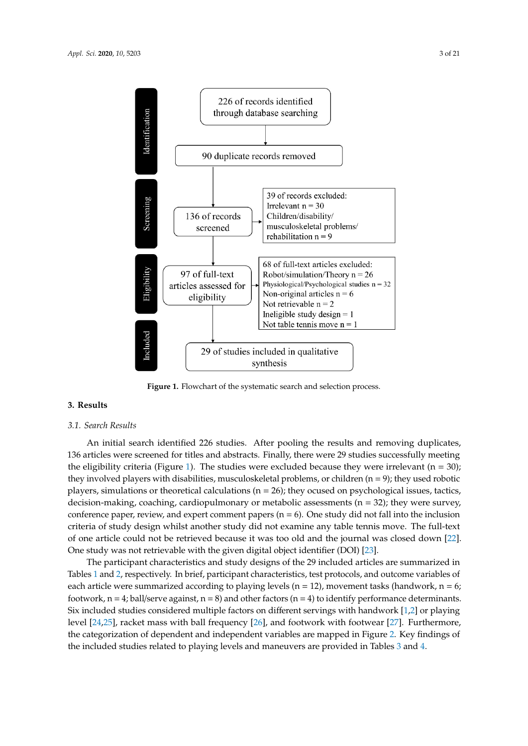<span id="page-2-0"></span>

Figure 1. Flowchart of the systematic search and selection process.

#### **3. Results**

#### $S\text{work } B\text{c}$ culte *3.1. Search Results*

An initial search identified 226 studies. After pooling the results and removing duplicates, 136 articles were screened for titles and abstracts. Finally, there were 29 studies successfully meeting the eligibility criteria (Figure 1). The stu[die](#page-2-0)s were excluded because they were irrelevant ( $n = 30$ ); they involved players with disabilities, musculoskeletal problems, or children (n = 9); they used robotic players, simulations or theoretical calculations ( $n = 26$ ); they ocused on psychological issues, tactics, decision-making, coaching, cardiopulmonary or metabolic assessments ( $n = 32$ ); they were survey, conference paper, review, and expert comment papers  $(n = 6)$ . One study did not fall into the inclusion criteria of study design whilst another study did not examine any table tennis move. The full-text of one article could not be retrieved because it was too old and the journal was closed down [\[22\]](#page-19-10). One study was not retrievable with the given digital object identifier (DOI) [\[23\]](#page-19-11).

The participant characteristics and study designs of the 29 included articles are summarized in Tables [1](#page-5-0) and [2,](#page-8-0) respectively. In brief, participant characteristics, test protocols, and outcome variables of each article were summarized according to playing levels ( $n = 12$ ), movement tasks (handwork,  $n = 6$ ; footwork,  $n = 4$ ; ball/serve against,  $n = 8$ ) and other factors  $(n = 4)$  to identify performance determinants. Six included studies considered multiple factors on different servings with handwork [\[1](#page-18-0)[,2\]](#page-18-1) or playing level [\[24,](#page-19-12)[25\]](#page-19-13), racket mass with ball frequency [\[26\]](#page-19-14), and footwork with footwear [\[27\]](#page-19-15). Furthermore, the categorization of dependent and independent variables are mapped in Figure [2.](#page-3-0) Key findings of the included studies related to playing levels and maneuvers are provided in Tables [3](#page-10-0) and [4.](#page-15-0)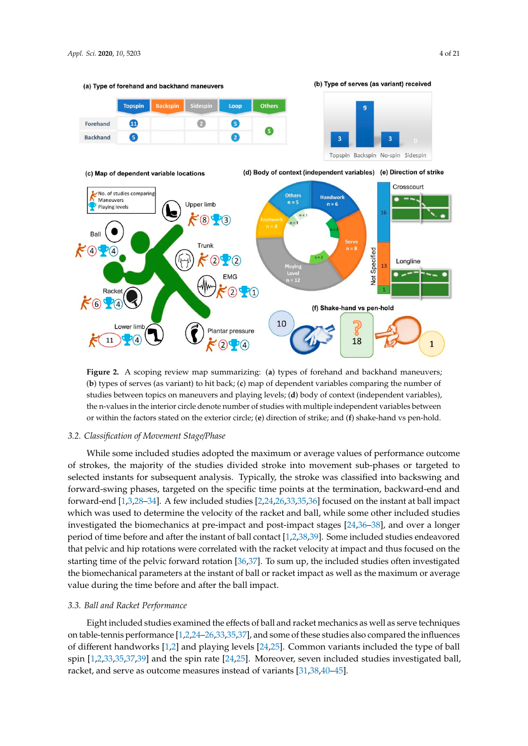<span id="page-3-0"></span>

**Figure 2.** A scoping review map summarizing: (**a**) types of forehand and backhand maneuvers; (**b**) **Figure 2.** A scoping review map summarizing: (**a**) types of forehand and backhand maneuvers; types of serves (as variant) to hit back; (**c**) map of dependent variables comparing the number of (**b**) types of serves (as variant) to hit back; (**c**) map of dependent variables comparing the number of studies between topics on maneuvers and playing levels; (**d**) body of context (independent variables), studies between topics on maneuvers and playing levels; (**d**) body of context (independent variables), the n-values in the interior circle denote number of studies with multiple independent variables between or within the factors stated on the exterior circle;  $(e)$  direction of strike; and  $(f)$  shake-hand vs pen-hold.

## vs pen-hold. *3.2. Classification of Movement Stage*/*Phase*

While some included studies adopted the maximum or average values of performance outcome of strokes, the majority of the studies divided stroke into movement sub-phases or targeted to selected instants for subsequent analysis. Typically, the stroke was classified into backswing and forward-swing phases, targeted on the specific time points at the termination, backward-end and forward-end [\[1,](#page-18-0)[3,](#page-18-2)[28](#page-19-16)[–34\]](#page-19-17). A few included studies [\[2,](#page-18-1)[24,](#page-19-12)[26,](#page-19-14)[33](#page-19-18)[,35](#page-19-19)[,36\]](#page-20-0) focused on the instant at ball impact which was used to determine the velocity of the racket and ball, while some other included studies investigated the biomechanics at pre-impact and post-impact stages [\[24](#page-19-12)[,36–](#page-20-0)[38\]](#page-20-1), and over a longer period of time before and after the instant of ball contact [\[1](#page-18-0)[,2](#page-18-1)[,38](#page-20-1)[,39\]](#page-20-2). Some included studies endeavored that pelvic and hip rotations were correlated with the racket velocity at impact and thus focused on the starting time of the pelvic forward rotation [\[36](#page-20-0)[,37\]](#page-20-3). To sum up, the included studies often investigated the biomechanical parameters at the instant of ball or racket impact as well as the maximum or average value during the time before and after the ball impact.

#### *3.3. Ball and Racket Performance*

Eight included studies examined the effects of ball and racket mechanics as well as serve techniques on table-tennis performance [\[1](#page-18-0)[,2](#page-18-1)[,24](#page-19-12)[–26,](#page-19-14)[33,](#page-19-18)[35](#page-19-19)[,37\]](#page-20-3), and some of these studies also compared the influences of different handworks [\[1](#page-18-0)[,2\]](#page-18-1) and playing levels [\[24](#page-19-12)[,25\]](#page-19-13). Common variants included the type of ball spin [\[1,](#page-18-0)[2,](#page-18-1)[33,](#page-19-18)[35,](#page-19-19)[37,](#page-20-3)[39\]](#page-20-2) and the spin rate [\[24,](#page-19-12)[25\]](#page-19-13). Moreover, seven included studies investigated ball, racket, and serve as outcome measures instead of variants [\[31,](#page-19-20)[38,](#page-20-1)[40](#page-20-4)[–45\]](#page-20-5).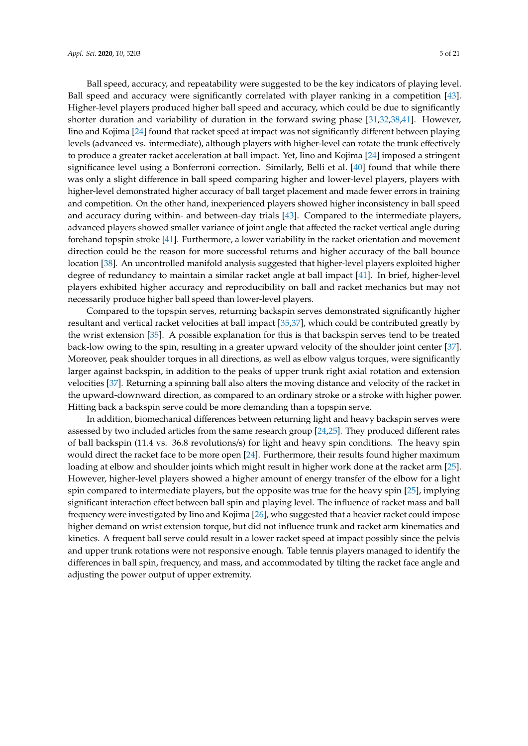Ball speed, accuracy, and repeatability were suggested to be the key indicators of playing level. Ball speed and accuracy were significantly correlated with player ranking in a competition [\[43\]](#page-20-6). Higher-level players produced higher ball speed and accuracy, which could be due to significantly shorter duration and variability of duration in the forward swing phase [\[31](#page-19-20)[,32](#page-19-21)[,38](#page-20-1)[,41\]](#page-20-7). However, Iino and Kojima [\[24\]](#page-19-12) found that racket speed at impact was not significantly different between playing levels (advanced vs. intermediate), although players with higher-level can rotate the trunk effectively to produce a greater racket acceleration at ball impact. Yet, Iino and Kojima [\[24\]](#page-19-12) imposed a stringent significance level using a Bonferroni correction. Similarly, Belli et al. [\[40\]](#page-20-4) found that while there was only a slight difference in ball speed comparing higher and lower-level players, players with higher-level demonstrated higher accuracy of ball target placement and made fewer errors in training and competition. On the other hand, inexperienced players showed higher inconsistency in ball speed and accuracy during within- and between-day trials [\[43\]](#page-20-6). Compared to the intermediate players, advanced players showed smaller variance of joint angle that affected the racket vertical angle during forehand topspin stroke [\[41\]](#page-20-7). Furthermore, a lower variability in the racket orientation and movement direction could be the reason for more successful returns and higher accuracy of the ball bounce location [\[38\]](#page-20-1). An uncontrolled manifold analysis suggested that higher-level players exploited higher degree of redundancy to maintain a similar racket angle at ball impact [\[41\]](#page-20-7). In brief, higher-level players exhibited higher accuracy and reproducibility on ball and racket mechanics but may not necessarily produce higher ball speed than lower-level players.

Compared to the topspin serves, returning backspin serves demonstrated significantly higher resultant and vertical racket velocities at ball impact [\[35](#page-19-19)[,37\]](#page-20-3), which could be contributed greatly by the wrist extension [\[35\]](#page-19-19). A possible explanation for this is that backspin serves tend to be treated back-low owing to the spin, resulting in a greater upward velocity of the shoulder joint center [\[37\]](#page-20-3). Moreover, peak shoulder torques in all directions, as well as elbow valgus torques, were significantly larger against backspin, in addition to the peaks of upper trunk right axial rotation and extension velocities [\[37\]](#page-20-3). Returning a spinning ball also alters the moving distance and velocity of the racket in the upward-downward direction, as compared to an ordinary stroke or a stroke with higher power. Hitting back a backspin serve could be more demanding than a topspin serve.

In addition, biomechanical differences between returning light and heavy backspin serves were assessed by two included articles from the same research group [\[24,](#page-19-12)[25\]](#page-19-13). They produced different rates of ball backspin (11.4 vs. 36.8 revolutions/s) for light and heavy spin conditions. The heavy spin would direct the racket face to be more open [\[24\]](#page-19-12). Furthermore, their results found higher maximum loading at elbow and shoulder joints which might result in higher work done at the racket arm [\[25\]](#page-19-13). However, higher-level players showed a higher amount of energy transfer of the elbow for a light spin compared to intermediate players, but the opposite was true for the heavy spin [\[25\]](#page-19-13), implying significant interaction effect between ball spin and playing level. The influence of racket mass and ball frequency were investigated by Iino and Kojima [\[26\]](#page-19-14), who suggested that a heavier racket could impose higher demand on wrist extension torque, but did not influence trunk and racket arm kinematics and kinetics. A frequent ball serve could result in a lower racket speed at impact possibly since the pelvis and upper trunk rotations were not responsive enough. Table tennis players managed to identify the differences in ball spin, frequency, and mass, and accommodated by tilting the racket face angle and adjusting the power output of upper extremity.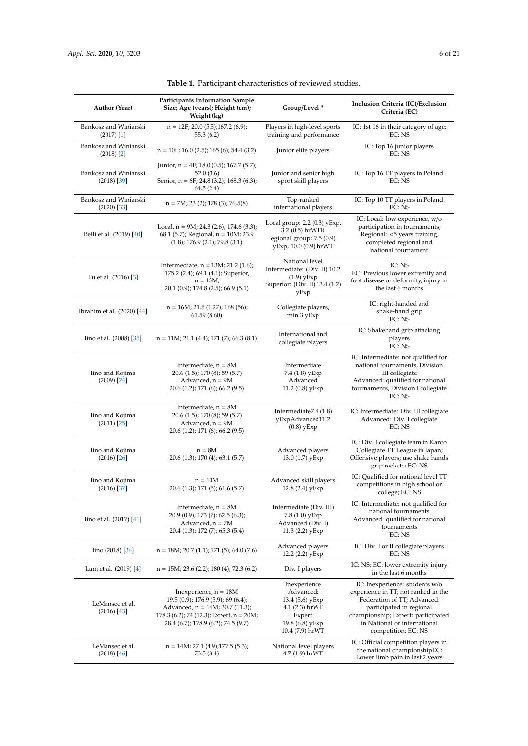<span id="page-5-0"></span>

| <b>Author (Year)</b>                             | <b>Participants Information Sample</b><br>Size; Age (years); Height (cm);<br>Weight (kg)                                                                                                         | Group/Level*                                                                                                    | Inclusion Criteria (IC)/Exclusion<br>Criteria (EC)                                                                                                                                                                            |
|--------------------------------------------------|--------------------------------------------------------------------------------------------------------------------------------------------------------------------------------------------------|-----------------------------------------------------------------------------------------------------------------|-------------------------------------------------------------------------------------------------------------------------------------------------------------------------------------------------------------------------------|
| Bankosz and Winiarski<br>$(2017)$ [1]            | $n = 12F$ ; 20.0 (5.5); 167.2 (6.9);<br>55.3(6.2)                                                                                                                                                | Players in high-level sports<br>training and performance                                                        | IC: 1st 16 in their category of age;<br>EC: NS                                                                                                                                                                                |
| Bankosz and Winiarski<br>$(2018)$ <sup>[2]</sup> | $n = 10F$ ; 16.0 (2.5); 165 (6); 54.4 (3.2)                                                                                                                                                      | Junior elite players                                                                                            | IC: Top 16 junior players<br>EC: NS                                                                                                                                                                                           |
| Bankosz and Winiarski<br>$(2018)$ [39]           | Junior, $n = 4F$ ; 18.0 (0.5); 167.7 (5.7);<br>52.0(3.6)<br>Senior, $n = 6F$ ; 24.8 (3.2); 168.3 (6.3);<br>64.5(2.4)                                                                             | Junior and senior high<br>sport skill players                                                                   | IC: Top 16 TT players in Poland.<br>EC: NS                                                                                                                                                                                    |
| Bankosz and Winiarski<br>$(2020)$ [33]           | $n = 7M$ ; 23 (2); 178 (3); 76.5(8)                                                                                                                                                              | Top-ranked<br>international players                                                                             | IC: Top 10 TT players in Poland.<br>EC: NS                                                                                                                                                                                    |
| Belli et al. (2019) [40]                         | Local, $n = 9M$ ; 24.3 (2.6); 174.6 (3.3);<br>68.1 (5.7); Regional, n = 10M; 23.9<br>$(1.8)$ ; 176.9 $(2.1)$ ; 79.8 $(3.1)$                                                                      | Local group: $2.2$ (0.3) $yExp$ ,<br>3.2 (0.5) hrWTR<br>egional group: 7.5 (0.9)<br>yExp, 10.0 (0.9) hrWT       | IC: Local: low experience, w/o<br>participation in tournaments;<br>Regional: <5 years training,<br>completed regional and<br>national tournament                                                                              |
| Fu et al. (2016) [3]                             | Intermediate, $n = 13M$ ; 21.2 (1.6);<br>175.2 (2.4); 69.1 (4.1); Superior,<br>$n = 13M;$<br>20.1 (0.9); 174.8 (2.5); 66.9 (5.1)                                                                 | National level<br>Intermediate: (Div. II) 10.2<br>$(1.9)$ yExp<br>Superior: (Div. II) 13.4 (1.2)<br>yExp        | IC: NS<br>EC: Previous lower extremity and<br>foot disease or deformity, injury in<br>the last 6 months                                                                                                                       |
| Ibrahim et al. (2020) [44]                       | $n = 16M$ ; 21.5 (1.27); 168 (56);<br>61.59 (8.60)                                                                                                                                               | Collegiate players,<br>min 3 yExp                                                                               | IC: right-handed and<br>shake-hand grip<br>EC: NS                                                                                                                                                                             |
| lino et al. (2008) [35]                          | $n = 11M$ ; 21.1 (4.4); 171 (7); 66.3 (8.1)                                                                                                                                                      | International and<br>collegiate players                                                                         | IC: Shakehand grip attacking<br>players<br>EC: NS                                                                                                                                                                             |
| Iino and Kojima<br>$(2009)$ [24]                 | Intermediate, $n = 8M$<br>20.6 (1.5); 170 (8); 59 (5.7)<br>Advanced, $n = 9M$<br>20.6 (1.2); 171 (6); 66.2 (9.5)                                                                                 | Intermediate<br>7.4 (1.8) yExp<br>Advanced<br>11.2 (0.8) yExp                                                   | IC: Intermediate: not qualified for<br>national tournaments, Division<br>III collegiate<br>Advanced: qualified for national<br>tournaments, Division I collegiate<br>EC: NS                                                   |
| Iino and Kojima<br>$(2011)$ [25]                 | Intermediate, $n = 8M$<br>20.6 (1.5); 170 (8); 59 (5.7)<br>Advanced, $n = 9M$<br>20.6 (1.2); 171 (6); 66.2 (9.5)                                                                                 | Intermediate7.4 (1.8)<br>yExpAdvanced11.2<br>$(0.8)$ yExp                                                       | IC: Intermediate: Div. III collegiate<br>Advanced: Div. I collegiate<br>EC: NS                                                                                                                                                |
| Iino and Kojima<br>$(2016)$ [26]                 | $n = 8M$<br>20.6 (1.3); 170 (4); 63.1 (5.7)                                                                                                                                                      | Advanced players<br>13.0 (1.7) yExp                                                                             | IC: Div. I collegiate team in Kanto<br>Collegiate TT League in Japan;<br>Offensive players; use shake hands<br>grip rackets; EC: NS                                                                                           |
| Iino and Kojima<br>$(2016)$ [37]                 | $n = 10M$<br>$20.6$ (1.3); $171$ (5); $61.6$ (5.7)                                                                                                                                               | Advanced skill players<br>$12.8\ (2.4) \ {\rm yExp}$                                                            | IC: Qualified for national level TT<br>competitions in high school or<br>college; EC: NS                                                                                                                                      |
| lino et al. (2017) [41]                          | Intermediate, $n = 8M$<br>20.9 (0.9); 173 (7); 62.5 (6.3);<br>Advanced, $n = 7M$<br>20.4 (1.3); 172 (7); 65.3 (5.4)                                                                              | Intermediate (Div. III)<br>7.8 (1.0) yExp<br>Advanced (Div. I)<br>11.3 (2.2) yExp                               | IC: Intermediate: not qualified for<br>national tournaments<br>Advanced: qualified for national<br>tournaments<br>EC: NS                                                                                                      |
| $\text{lino} (2018) [36]$                        | $n = 18M$ ; 20.7 (1.1); 171 (5); 64.0 (7.6)                                                                                                                                                      | Advanced players<br>12.2 (2.2) yExp                                                                             | IC: Div. I or II collegiate players<br>EC: NS                                                                                                                                                                                 |
| Lam et al. (2019) [4]                            | $n = 15M$ ; 23.6 (2.2); 180 (4); 72.3 (6.2)                                                                                                                                                      | Div. I players                                                                                                  | IC: NS; EC: lower extremity injury<br>in the last 6 months                                                                                                                                                                    |
| LeMansec et al.<br>$(2016)$ [43]                 | Inexperience, $n = 18M$<br>$19.5(0.9)$ ; 176.9 $(5.9)$ ; 69 $(6.4)$ ;<br>Advanced, n = 14M; 30.7 (11.3);<br>$178.3(6.2)$ ; 74 $(12.3)$ ; Expert, n = 20M;<br>28.4 (6.7); 178.9 (6.2); 74.5 (9.7) | Inexperience<br>Advanced:<br>13.4 (5.6) yExp<br>4.1 (2.3) hrWT<br>Expert:<br>19.8 (6.8) yExp<br>10.4 (7.9) hrWT | IC: Inexperience: students w/o<br>experience in TT; not ranked in the<br>Federation of TT; Advanced:<br>participated in regional<br>championship; Expert: participated<br>in National or international<br>competition; EC: NS |
| LeMansec et al.<br>$(2018)$ [46]                 | $n = 14M$ ; 27.1 (4.9); 177.5 (5.3);<br>73.5 (8.4)                                                                                                                                               | National level players<br>$4.7(1.9)$ hrWT                                                                       | IC: Official competition players in<br>the national championshipEC:<br>Lower limb pain in last 2 years                                                                                                                        |

## **Table 1.** Participant characteristics of reviewed studies.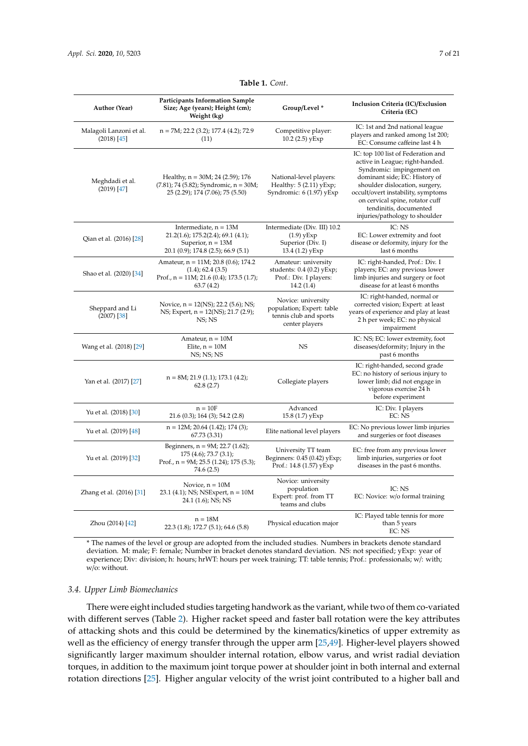| <b>Author (Year)</b>                     | <b>Participants Information Sample</b><br>Size; Age (years); Height (cm);<br>Weight (kg)                                       | Group/Level *                                                                               | Inclusion Criteria (IC)/Exclusion<br>Criteria (EC)                                                                                                                                                                                                                                                         |
|------------------------------------------|--------------------------------------------------------------------------------------------------------------------------------|---------------------------------------------------------------------------------------------|------------------------------------------------------------------------------------------------------------------------------------------------------------------------------------------------------------------------------------------------------------------------------------------------------------|
| Malagoli Lanzoni et al.<br>$(2018)$ [45] | $n = 7M$ ; 22.2 (3.2); 177.4 (4.2); 72.9<br>(11)                                                                               | Competitive player:<br>$10.2(2.5)$ yExp                                                     | IC: 1st and 2nd national league<br>players and ranked among 1st 200;<br>EC: Consume caffeine last 4 h                                                                                                                                                                                                      |
| Meghdadi et al.<br>$(2019)$ [47]         | Healthy, $n = 30M$ ; 24 (2.59); 176<br>$(7.81)$ ; 74 $(5.82)$ ; Syndromic, n = 30M;<br>25 (2.29); 174 (7.06); 75 (5.50)        | National-level players:<br>Healthy: 5 (2.11) yExp;<br>Syndromic: 6 (1.97) yExp              | IC: top 100 list of Federation and<br>active in League; right-handed.<br>Syndromic: impingement on<br>dominant side; EC: History of<br>shoulder dislocation, surgery,<br>occult/overt instability, symptoms<br>on cervical spine, rotator cuff<br>tendinitis, documented<br>injuries/pathology to shoulder |
| Qian et al. (2016) [28]                  | Intermediate, $n = 13M$<br>$21.2(1.6)$ ; 175.2(2.4); 69.1 (4.1);<br>Superior, $n = 13M$<br>20.1 (0.9); 174.8 (2.5); 66.9 (5.1) | Intermediate (Div. III) 10.2<br>$(1.9)$ yExp<br>Superior (Div. I)<br>13.4 (1.2) yExp        | IC: NS<br>EC: Lower extremity and foot<br>disease or deformity, injury for the<br>last 6 months                                                                                                                                                                                                            |
| Shao et al. (2020) [34]                  | Amateur, $n = 11M$ ; 20.8 (0.6); 174.2<br>$(1.4)$ ; 62.4 $(3.5)$<br>Prof., $n = 11M$ ; 21.6 (0.4); 173.5 (1.7);<br>63.7(4.2)   | Amateur: university<br>students: 0.4 (0.2) yExp;<br>Prof.: Div. I players:<br>14.2(1.4)     | IC: right-handed, Prof.: Div. I<br>players; EC: any previous lower<br>limb injuries and surgery or foot<br>disease for at least 6 months                                                                                                                                                                   |
| Sheppard and Li<br>$(2007)$ [38]         | Novice, $n = 12$ (NS); 22.2 (5.6); NS;<br>NS; Expert, $n = 12$ (NS); 21.7 (2.9);<br>NS; NS                                     | Novice: university<br>population; Expert: table<br>tennis club and sports<br>center players | IC: right-handed, normal or<br>corrected vision; Expert: at least<br>years of experience and play at least<br>2 h per week; EC: no physical<br>impairment                                                                                                                                                  |
| Wang et al. (2018) [29]                  | Amateur, $n = 10M$<br>Elite, $n = 10M$<br>NS; NS; NS                                                                           | <b>NS</b>                                                                                   | IC: NS; EC: lower extremity, foot<br>diseases/deformity; Injury in the<br>past 6 months                                                                                                                                                                                                                    |
| Yan et al. (2017) [27]                   | $n = 8M$ ; 21.9 (1.1); 173.1 (4.2);<br>62.8(2.7)                                                                               | Collegiate players                                                                          | IC: right-handed, second grade<br>EC: no history of serious injury to<br>lower limb; did not engage in<br>vigorous exercise 24 h<br>before experiment                                                                                                                                                      |
| Yu et al. (2018) [30]                    | $n = 10F$<br>$21.6(0.3)$ ; 164 $(3)$ ; 54.2 $(2.8)$                                                                            | Advanced<br>15.8 (1.7) yExp                                                                 | IC: Div. I players<br>EC: NS                                                                                                                                                                                                                                                                               |
| Yu et al. (2019) [48]                    | $n = 12M$ ; 20.64 (1.42); 174 (3);<br>67.73 (3.31)                                                                             | Elite national level players                                                                | EC: No previous lower limb injuries<br>and surgeries or foot diseases                                                                                                                                                                                                                                      |
| Yu et al. (2019) [32]                    | Beginners, $n = 9M$ ; 22.7 (1.62);<br>$175(4.6)$ ; 73.7 $(3.1)$ ;<br>Prof., $n = 9M$ ; 25.5 (1.24); 175 (5.3);<br>74.6 (2.5)   | University TT team<br>Beginners: 0.45 (0.42) yExp;<br>Prof.: 14.8 (1.57) yExp               | EC: free from any previous lower<br>limb injuries, surgeries or foot<br>diseases in the past 6 months.                                                                                                                                                                                                     |
| Zhang et al. (2016) [31]                 | Novice, $n = 10M$<br>23.1 $(4.1)$ ; NS; NSExpert, $n = 10M$<br>24.1 (1.6); NS; NS                                              | Novice: university<br>population<br>Expert: prof. from TT<br>teams and clubs                | IC: NS<br>EC: Novice: w/o formal training                                                                                                                                                                                                                                                                  |
| Zhou (2014) [42]                         | $n = 18M$<br>22.3 (1.8); 172.7 (5.1); 64.6 (5.8)                                                                               | Physical education major                                                                    | IC: Played table tennis for more<br>than 5 years<br>EC: NS                                                                                                                                                                                                                                                 |

**Table 1.** *Cont*.

\* The names of the level or group are adopted from the included studies. Numbers in brackets denote standard deviation. M: male; F: female; Number in bracket denotes standard deviation. NS: not specified; yExp: year of experience; Div: division; h: hours; hrWT: hours per week training; TT: table tennis; Prof.: professionals; w/: with; w/o: without.

#### *3.4. Upper Limb Biomechanics*

There were eight included studies targeting handwork as the variant, while two of them co-variated with different serves (Table [2\)](#page-8-0). Higher racket speed and faster ball rotation were the key attributes of attacking shots and this could be determined by the kinematics/kinetics of upper extremity as well as the efficiency of energy transfer through the upper arm [\[25](#page-19-13)[,49\]](#page-20-13). Higher-level players showed significantly larger maximum shoulder internal rotation, elbow varus, and wrist radial deviation torques, in addition to the maximum joint torque power at shoulder joint in both internal and external rotation directions [\[25\]](#page-19-13). Higher angular velocity of the wrist joint contributed to a higher ball and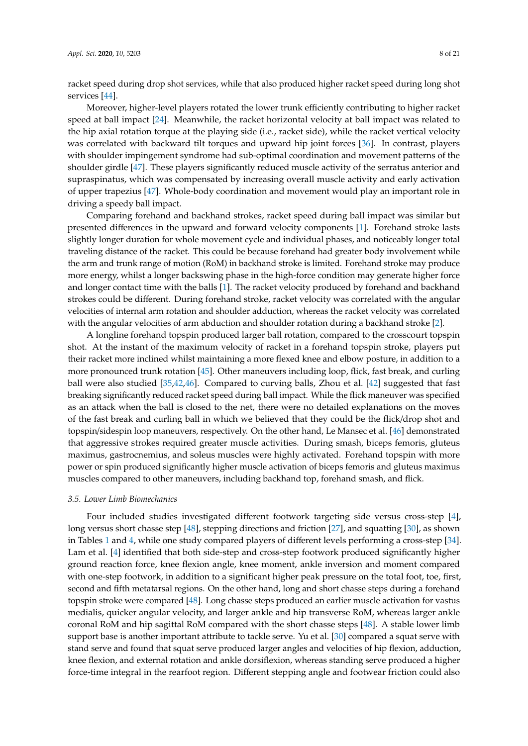racket speed during drop shot services, while that also produced higher racket speed during long shot services [\[44\]](#page-20-8).

Moreover, higher-level players rotated the lower trunk efficiently contributing to higher racket speed at ball impact [\[24\]](#page-19-12). Meanwhile, the racket horizontal velocity at ball impact was related to the hip axial rotation torque at the playing side (i.e., racket side), while the racket vertical velocity was correlated with backward tilt torques and upward hip joint forces [\[36\]](#page-20-0). In contrast, players with shoulder impingement syndrome had sub-optimal coordination and movement patterns of the shoulder girdle [\[47\]](#page-20-10). These players significantly reduced muscle activity of the serratus anterior and supraspinatus, which was compensated by increasing overall muscle activity and early activation of upper trapezius [\[47\]](#page-20-10). Whole-body coordination and movement would play an important role in driving a speedy ball impact.

Comparing forehand and backhand strokes, racket speed during ball impact was similar but presented differences in the upward and forward velocity components [\[1\]](#page-18-0). Forehand stroke lasts slightly longer duration for whole movement cycle and individual phases, and noticeably longer total traveling distance of the racket. This could be because forehand had greater body involvement while the arm and trunk range of motion (RoM) in backhand stroke is limited. Forehand stroke may produce more energy, whilst a longer backswing phase in the high-force condition may generate higher force and longer contact time with the balls [\[1\]](#page-18-0). The racket velocity produced by forehand and backhand strokes could be different. During forehand stroke, racket velocity was correlated with the angular velocities of internal arm rotation and shoulder adduction, whereas the racket velocity was correlated with the angular velocities of arm abduction and shoulder rotation during a backhand stroke [\[2\]](#page-18-1).

A longline forehand topspin produced larger ball rotation, compared to the crosscourt topspin shot. At the instant of the maximum velocity of racket in a forehand topspin stroke, players put their racket more inclined whilst maintaining a more flexed knee and elbow posture, in addition to a more pronounced trunk rotation [\[45\]](#page-20-5). Other maneuvers including loop, flick, fast break, and curling ball were also studied [\[35](#page-19-19)[,42](#page-20-12)[,46\]](#page-20-9). Compared to curving balls, Zhou et al. [\[42\]](#page-20-12) suggested that fast breaking significantly reduced racket speed during ball impact. While the flick maneuver was specified as an attack when the ball is closed to the net, there were no detailed explanations on the moves of the fast break and curling ball in which we believed that they could be the flick/drop shot and topspin/sidespin loop maneuvers, respectively. On the other hand, Le Mansec et al. [\[46\]](#page-20-9) demonstrated that aggressive strokes required greater muscle activities. During smash, biceps femoris, gluteus maximus, gastrocnemius, and soleus muscles were highly activated. Forehand topspin with more power or spin produced significantly higher muscle activation of biceps femoris and gluteus maximus muscles compared to other maneuvers, including backhand top, forehand smash, and flick.

#### *3.5. Lower Limb Biomechanics*

Four included studies investigated different footwork targeting side versus cross-step [\[4\]](#page-18-3), long versus short chasse step [\[48\]](#page-20-11), stepping directions and friction [\[27\]](#page-19-15), and squatting [\[30\]](#page-19-23), as shown in Tables [1](#page-5-0) and [4,](#page-15-0) while one study compared players of different levels performing a cross-step [\[34\]](#page-19-17). Lam et al. [\[4\]](#page-18-3) identified that both side-step and cross-step footwork produced significantly higher ground reaction force, knee flexion angle, knee moment, ankle inversion and moment compared with one-step footwork, in addition to a significant higher peak pressure on the total foot, toe, first, second and fifth metatarsal regions. On the other hand, long and short chasse steps during a forehand topspin stroke were compared [\[48\]](#page-20-11). Long chasse steps produced an earlier muscle activation for vastus medialis, quicker angular velocity, and larger ankle and hip transverse RoM, whereas larger ankle coronal RoM and hip sagittal RoM compared with the short chasse steps [\[48\]](#page-20-11). A stable lower limb support base is another important attribute to tackle serve. Yu et al. [\[30\]](#page-19-23) compared a squat serve with stand serve and found that squat serve produced larger angles and velocities of hip flexion, adduction, knee flexion, and external rotation and ankle dorsiflexion, whereas standing serve produced a higher force-time integral in the rearfoot region. Different stepping angle and footwear friction could also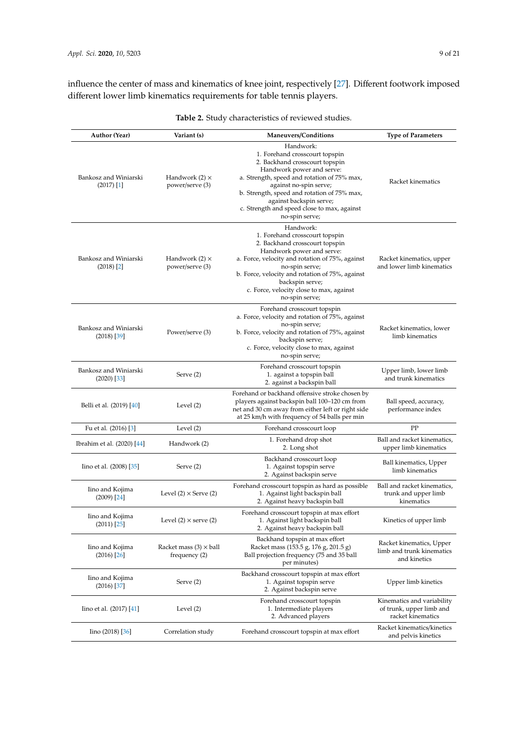influence the center of mass and kinematics of knee joint, respectively [\[27\]](#page-19-15). Different footwork imposed different lower limb kinematics requirements for table tennis players.

<span id="page-8-0"></span>

| <b>Author (Year)</b>                   | Variant (s)                                      | Maneuvers/Conditions                                                                                                                                                                                                                                                                                                           | <b>Type of Parameters</b>                                                   |
|----------------------------------------|--------------------------------------------------|--------------------------------------------------------------------------------------------------------------------------------------------------------------------------------------------------------------------------------------------------------------------------------------------------------------------------------|-----------------------------------------------------------------------------|
| Bankosz and Winiarski<br>$(2017)$ [1]  | Handwork $(2) \times$<br>power/serve (3)         | Handwork:<br>1. Forehand crosscourt topspin<br>2. Backhand crosscourt topspin<br>Handwork power and serve:<br>a. Strength, speed and rotation of 75% max,<br>against no-spin serve;<br>b. Strength, speed and rotation of 75% max,<br>against backspin serve;<br>c. Strength and speed close to max, against<br>no-spin serve; | Racket kinematics                                                           |
| Bankosz and Winiarski<br>$(2018)$ [2]  | Handwork $(2) \times$<br>power/serve (3)         | Handwork:<br>1. Forehand crosscourt topspin<br>2. Backhand crosscourt topspin<br>Handwork power and serve:<br>a. Force, velocity and rotation of 75%, against<br>no-spin serve;<br>b. Force, velocity and rotation of 75%, against<br>backspin serve;<br>c. Force, velocity close to max, against<br>no-spin serve;            | Racket kinematics, upper<br>and lower limb kinematics                       |
| Bankosz and Winiarski<br>$(2018)$ [39] | Power/serve (3)                                  | Forehand crosscourt topspin<br>a. Force, velocity and rotation of 75%, against<br>no-spin serve;<br>b. Force, velocity and rotation of 75%, against<br>backspin serve;<br>c. Force, velocity close to max, against<br>no-spin serve;                                                                                           | Racket kinematics, lower<br>limb kinematics                                 |
| Bankosz and Winiarski<br>$(2020)$ [33] | Serve (2)                                        | Forehand crosscourt topspin<br>1. against a topspin ball<br>2. against a backspin ball                                                                                                                                                                                                                                         | Upper limb, lower limb<br>and trunk kinematics                              |
| Belli et al. (2019) [40]               | Level $(2)$                                      | Forehand or backhand offensive stroke chosen by<br>players against backspin ball 100–120 cm from<br>net and 30 cm away from either left or right side<br>at 25 km/h with frequency of 54 balls per min                                                                                                                         | Ball speed, accuracy,<br>performance index                                  |
| Fu et al. (2016) [3]                   | Level $(2)$                                      | Forehand crosscourt loop                                                                                                                                                                                                                                                                                                       | PP                                                                          |
| Ibrahim et al. (2020) [44]             | Handwork (2)                                     | 1. Forehand drop shot<br>2. Long shot                                                                                                                                                                                                                                                                                          | Ball and racket kinematics,<br>upper limb kinematics                        |
| lino et al. (2008) [35]                | Serve $(2)$                                      | Backhand crosscourt loop<br>1. Against topspin serve<br>2. Against backspin serve                                                                                                                                                                                                                                              | Ball kinematics, Upper<br>limb kinematics                                   |
| Iino and Kojima<br>$(2009)$ [24]       | Level $(2) \times$ Serve $(2)$                   | Forehand crosscourt topspin as hard as possible<br>1. Against light backspin ball<br>2. Against heavy backspin ball                                                                                                                                                                                                            | Ball and racket kinematics,<br>trunk and upper limb<br>kinematics           |
| Iino and Kojima<br>$(2011)$ [25]       | Level $(2) \times$ serve $(2)$                   | Forehand crosscourt topspin at max effort<br>1. Against light backspin ball<br>2. Against heavy backspin ball                                                                                                                                                                                                                  | Kinetics of upper limb                                                      |
| Iino and Kojima<br>$(2016)$ [26]       | Racket mass $(3) \times$ ball<br>frequency $(2)$ | Backhand topspin at max effort<br>Racket mass (153.5 g, 176 g, 201.5 g)<br>Ball projection frequency (75 and 35 ball<br>per minutes)                                                                                                                                                                                           | Racket kinematics, Upper<br>limb and trunk kinematics<br>and kinetics       |
| Iino and Kojima<br>$(2016)$ [37]       | Serve $(2)$                                      | Backhand crosscourt topspin at max effort<br>1. Against topspin serve<br>2. Against backspin serve                                                                                                                                                                                                                             | Upper limb kinetics                                                         |
| lino et al. (2017) [41]                | Level $(2)$                                      | Forehand crosscourt topspin<br>1. Intermediate players<br>2. Advanced players                                                                                                                                                                                                                                                  | Kinematics and variability<br>of trunk, upper limb and<br>racket kinematics |
| $\text{lino} (2018) [36]$              | Correlation study                                | Forehand crosscourt topspin at max effort                                                                                                                                                                                                                                                                                      | Racket kinematics/kinetics<br>and pelvis kinetics                           |

**Table 2.** Study characteristics of reviewed studies.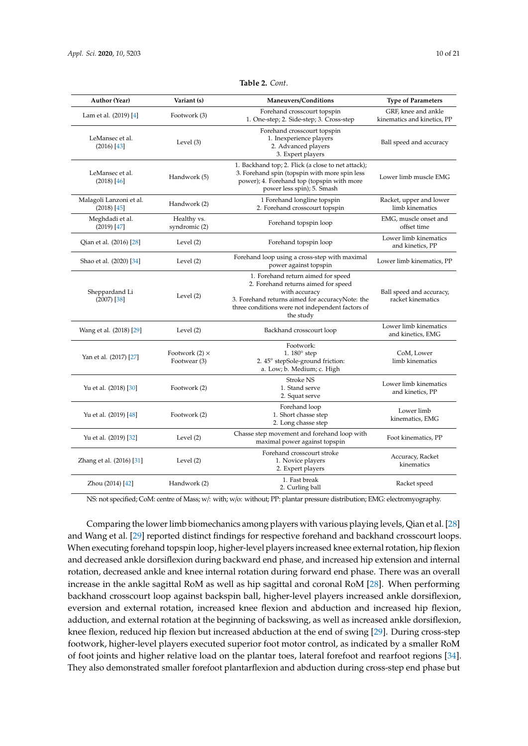| <b>Author (Year)</b>                     | Variant (s)                           | Maneuvers/Conditions                                                                                                                                                                                           | <b>Type of Parameters</b>                          |
|------------------------------------------|---------------------------------------|----------------------------------------------------------------------------------------------------------------------------------------------------------------------------------------------------------------|----------------------------------------------------|
| Lam et al. (2019) [4]                    | Footwork (3)                          | Forehand crosscourt topspin<br>1. One-step; 2. Side-step; 3. Cross-step                                                                                                                                        | GRF, knee and ankle<br>kinematics and kinetics, PP |
| LeMansec et al.<br>$(2016)$ [43]         | Level $(3)$                           | Forehand crosscourt topspin<br>1. Inexperience players<br>2. Advanced players<br>3. Expert players                                                                                                             | Ball speed and accuracy                            |
| LeMansec et al.<br>$(2018)$ [46]         | Handwork (5)                          | 1. Backhand top; 2. Flick (a close to net attack);<br>3. Forehand spin (topspin with more spin less<br>power); 4. Forehand top (topspin with more<br>power less spin); 5. Smash                                | Lower limb muscle EMG                              |
| Malagoli Lanzoni et al.<br>$(2018)$ [45] | Handwork (2)                          | 1 Forehand longline topspin<br>2. Forehand crosscourt topspin                                                                                                                                                  | Racket, upper and lower<br>limb kinematics         |
| Meghdadi et al.<br>(2019) [47]           | Healthy vs.<br>syndromic (2)          | Forehand topspin loop                                                                                                                                                                                          | EMG, muscle onset and<br>offset time               |
| Qian et al. (2016) [28]                  | Level $(2)$                           | Forehand topspin loop                                                                                                                                                                                          | Lower limb kinematics<br>and kinetics, PP          |
| Shao et al. (2020) [34]                  | Level $(2)$                           | Forehand loop using a cross-step with maximal<br>power against topspin                                                                                                                                         | Lower limb kinematics, PP                          |
| Sheppardand Li<br>$(2007)$ [38]          | Level $(2)$                           | 1. Forehand return aimed for speed<br>2. Forehand returns aimed for speed<br>with accuracy<br>3. Forehand returns aimed for accuracyNote: the<br>three conditions were not independent factors of<br>the study | Ball speed and accuracy,<br>racket kinematics      |
| Wang et al. (2018) [29]                  | Level $(2)$                           | Backhand crosscourt loop                                                                                                                                                                                       | Lower limb kinematics<br>and kinetics, EMG         |
| Yan et al. (2017) [27]                   | Footwork $(2) \times$<br>Footwear (3) | Footwork:<br>1. $180^\circ$ step<br>2. 45° stepSole-ground friction:<br>a. Low; b. Medium; c. High                                                                                                             | CoM, Lower<br>limb kinematics                      |
| Yu et al. (2018) [30]                    | Footwork (2)                          | Stroke NS<br>1. Stand serve<br>2. Squat serve                                                                                                                                                                  | Lower limb kinematics<br>and kinetics, PP          |
| Yu et al. (2019) [48]                    | Footwork (2)                          | Forehand loop<br>1. Short chasse step<br>2. Long chasse step                                                                                                                                                   | Lower limb<br>kinematics, EMG                      |
| Yu et al. (2019) [32]                    | Level $(2)$                           | Chasse step movement and forehand loop with<br>maximal power against topspin                                                                                                                                   | Foot kinematics, PP                                |
| Zhang et al. (2016) [31]                 | Level $(2)$                           | Forehand crosscourt stroke<br>1. Novice players<br>2. Expert players                                                                                                                                           | Accuracy, Racket<br>kinematics                     |
| Zhou (2014) [42]                         | Handwork (2)                          | 1. Fast break<br>2. Curling ball                                                                                                                                                                               | Racket speed                                       |

**Table 2.** *Cont*.

NS: not specified; CoM: centre of Mass; w/: with; w/o: without; PP: plantar pressure distribution; EMG: electromyography.

Comparing the lower limb biomechanics among players with various playing levels, Qian et al. [\[28\]](#page-19-16) and Wang et al. [\[29\]](#page-19-22) reported distinct findings for respective forehand and backhand crosscourt loops. When executing forehand topspin loop, higher-level players increased knee external rotation, hip flexion and decreased ankle dorsiflexion during backward end phase, and increased hip extension and internal rotation, decreased ankle and knee internal rotation during forward end phase. There was an overall increase in the ankle sagittal RoM as well as hip sagittal and coronal RoM [\[28\]](#page-19-16). When performing backhand crosscourt loop against backspin ball, higher-level players increased ankle dorsiflexion, eversion and external rotation, increased knee flexion and abduction and increased hip flexion, adduction, and external rotation at the beginning of backswing, as well as increased ankle dorsiflexion, knee flexion, reduced hip flexion but increased abduction at the end of swing [\[29\]](#page-19-22). During cross-step footwork, higher-level players executed superior foot motor control, as indicated by a smaller RoM of foot joints and higher relative load on the plantar toes, lateral forefoot and rearfoot regions [\[34\]](#page-19-17). They also demonstrated smaller forefoot plantarflexion and abduction during cross-step end phase but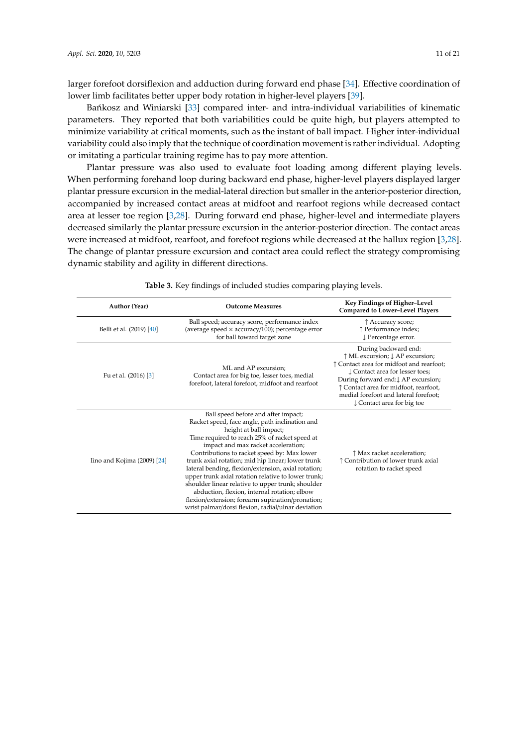larger forefoot dorsiflexion and adduction during forward end phase [\[34\]](#page-19-17). Effective coordination of lower limb facilitates better upper body rotation in higher-level players [\[39\]](#page-20-2).

Bańkosz and Winiarski [\[33\]](#page-19-18) compared inter- and intra-individual variabilities of kinematic parameters. They reported that both variabilities could be quite high, but players attempted to minimize variability at critical moments, such as the instant of ball impact. Higher inter-individual variability could also imply that the technique of coordination movement is rather individual. Adopting or imitating a particular training regime has to pay more attention.

Plantar pressure was also used to evaluate foot loading among different playing levels. When performing forehand loop during backward end phase, higher-level players displayed larger plantar pressure excursion in the medial-lateral direction but smaller in the anterior-posterior direction, accompanied by increased contact areas at midfoot and rearfoot regions while decreased contact area at lesser toe region [\[3](#page-18-2)[,28\]](#page-19-16). During forward end phase, higher-level and intermediate players decreased similarly the plantar pressure excursion in the anterior-posterior direction. The contact areas were increased at midfoot, rearfoot, and forefoot regions while decreased at the hallux region [\[3,](#page-18-2)[28\]](#page-19-16). The change of plantar pressure excursion and contact area could reflect the strategy compromising dynamic stability and agility in different directions.

<span id="page-10-0"></span>

| <b>Author (Year)</b>            | <b>Outcome Measures</b>                                                                                                                                                                                                                                                                                                                                                                                                                                                                                                                                                                                                                  | Key Findings of Higher-Level<br>Compared to Lower-Level Players                                                                                                                                                                                                                              |
|---------------------------------|------------------------------------------------------------------------------------------------------------------------------------------------------------------------------------------------------------------------------------------------------------------------------------------------------------------------------------------------------------------------------------------------------------------------------------------------------------------------------------------------------------------------------------------------------------------------------------------------------------------------------------------|----------------------------------------------------------------------------------------------------------------------------------------------------------------------------------------------------------------------------------------------------------------------------------------------|
| Belli et al. (2019) [40]        | Ball speed; accuracy score, performance index<br>(average speed × accuracy/100); percentage error<br>for ball toward target zone                                                                                                                                                                                                                                                                                                                                                                                                                                                                                                         | ↑ Accuracy score;<br>↑ Performance index;<br>Percentage error.                                                                                                                                                                                                                               |
| Fu et al. (2016) [3]            | ML and AP excursion;<br>Contact area for big toe, lesser toes, medial<br>forefoot, lateral forefoot, midfoot and rearfoot                                                                                                                                                                                                                                                                                                                                                                                                                                                                                                                | During backward end:<br>↑ ML excursion; ↓ AP excursion;<br>↑ Contact area for midfoot and rearfoot;<br>L Contact area for lesser toes;<br>During forward end:↓ AP excursion;<br>↑ Contact area for midfoot, rearfoot,<br>medial forefoot and lateral forefoot;<br>↓ Contact area for big toe |
| Iino and Kojima $(2009)$ $[24]$ | Ball speed before and after impact;<br>Racket speed, face angle, path inclination and<br>height at ball impact;<br>Time required to reach 25% of racket speed at<br>impact and max racket acceleration;<br>Contributions to racket speed by: Max lower<br>trunk axial rotation; mid hip linear; lower trunk<br>lateral bending, flexion/extension, axial rotation;<br>upper trunk axial rotation relative to lower trunk;<br>shoulder linear relative to upper trunk; shoulder<br>abduction, flexion, internal rotation; elbow<br>flexion/extension; forearm supination/pronation;<br>wrist palmar/dorsi flexion, radial/ulnar deviation | ↑ Max racket acceleration;<br>↑ Contribution of lower trunk axial<br>rotation to racket speed                                                                                                                                                                                                |

**Table 3.** Key findings of included studies comparing playing levels.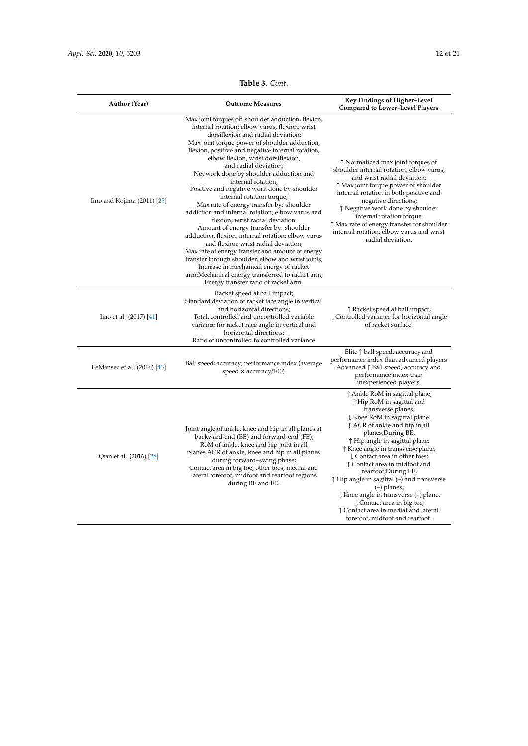### **Table 3.** *Cont*.

| Author (Year)                   | <b>Outcome Measures</b>                                                                                                                                                                                                                                                                                                                                                                                                                                                                                                                                                                                                                                                                                                                                                                                                                                                                                                                                                                   | Key Findings of Higher-Level<br><b>Compared to Lower-Level Players</b>                                                                                                                                                                                                                                                                                                                                                                                                                                                                                    |
|---------------------------------|-------------------------------------------------------------------------------------------------------------------------------------------------------------------------------------------------------------------------------------------------------------------------------------------------------------------------------------------------------------------------------------------------------------------------------------------------------------------------------------------------------------------------------------------------------------------------------------------------------------------------------------------------------------------------------------------------------------------------------------------------------------------------------------------------------------------------------------------------------------------------------------------------------------------------------------------------------------------------------------------|-----------------------------------------------------------------------------------------------------------------------------------------------------------------------------------------------------------------------------------------------------------------------------------------------------------------------------------------------------------------------------------------------------------------------------------------------------------------------------------------------------------------------------------------------------------|
| Iino and Kojima $(2011)$ $[25]$ | Max joint torques of: shoulder adduction, flexion,<br>internal rotation; elbow varus, flexion; wrist<br>dorsiflexion and radial deviation;<br>Max joint torque power of shoulder adduction,<br>flexion, positive and negative internal rotation,<br>elbow flexion, wrist dorsiflexion,<br>and radial deviation:<br>Net work done by shoulder adduction and<br>internal rotation;<br>Positive and negative work done by shoulder<br>internal rotation torque;<br>Max rate of energy transfer by: shoulder<br>addiction and internal rotation; elbow varus and<br>flexion; wrist radial deviation<br>Amount of energy transfer by: shoulder<br>adduction, flexion, internal rotation; elbow varus<br>and flexion; wrist radial deviation;<br>Max rate of energy transfer and amount of energy<br>transfer through shoulder, elbow and wrist joints;<br>Increase in mechanical energy of racket<br>arm; Mechanical energy transferred to racket arm;<br>Energy transfer ratio of racket arm. | ↑ Normalized max joint torques of<br>shoulder internal rotation, elbow varus,<br>and wrist radial deviation:<br>↑ Max joint torque power of shoulder<br>internal rotation in both positive and<br>negative directions;<br>↑ Negative work done by shoulder<br>internal rotation torque;<br>↑ Max rate of energy transfer for shoulder<br>internal rotation, elbow varus and wrist<br>radial deviation.                                                                                                                                                    |
| $\lim$ et al. $(2017)$ $[41]$   | Racket speed at ball impact;<br>Standard deviation of racket face angle in vertical<br>and horizontal directions;<br>Total, controlled and uncontrolled variable<br>variance for racket race angle in vertical and<br>horizontal directions;<br>Ratio of uncontrolled to controlled variance                                                                                                                                                                                                                                                                                                                                                                                                                                                                                                                                                                                                                                                                                              | ↑ Racket speed at ball impact;<br>↓ Controlled variance for horizontal angle<br>of racket surface.                                                                                                                                                                                                                                                                                                                                                                                                                                                        |
| LeMansec et al. (2016) [43]     | Ball speed; accuracy; performance index (average<br>speed $\times$ accuracy/100)                                                                                                                                                                                                                                                                                                                                                                                                                                                                                                                                                                                                                                                                                                                                                                                                                                                                                                          | Elite $\uparrow$ ball speed, accuracy and<br>performance index than advanced players<br>Advanced $\uparrow$ Ball speed, accuracy and<br>performance index than<br>inexperienced players.                                                                                                                                                                                                                                                                                                                                                                  |
| Qian et al. (2016) [28]         | Joint angle of ankle, knee and hip in all planes at<br>backward-end (BE) and forward-end (FE);<br>RoM of ankle, knee and hip joint in all<br>planes.ACR of ankle, knee and hip in all planes<br>during forward-swing phase;<br>Contact area in big toe, other toes, medial and<br>lateral forefoot, midfoot and rearfoot regions<br>during BE and FE.                                                                                                                                                                                                                                                                                                                                                                                                                                                                                                                                                                                                                                     | ↑ Ankle RoM in sagittal plane;<br>↑ Hip RoM in sagittal and<br>transverse planes;<br>↓ Knee RoM in sagittal plane.<br>↑ ACR of ankle and hip in all<br>planes;During BE,<br>↑ Hip angle in sagittal plane;<br>↑ Knee angle in transverse plane;<br>L Contact area in other toes;<br>↑ Contact area in midfoot and<br>rearfoot;During FE,<br>↑ Hip angle in sagittal (-) and transverse<br>$(-)$ planes;<br>↓ Knee angle in transverse (-) plane.<br>↓ Contact area in big toe;<br>↑ Contact area in medial and lateral<br>forefoot, midfoot and rearfoot. |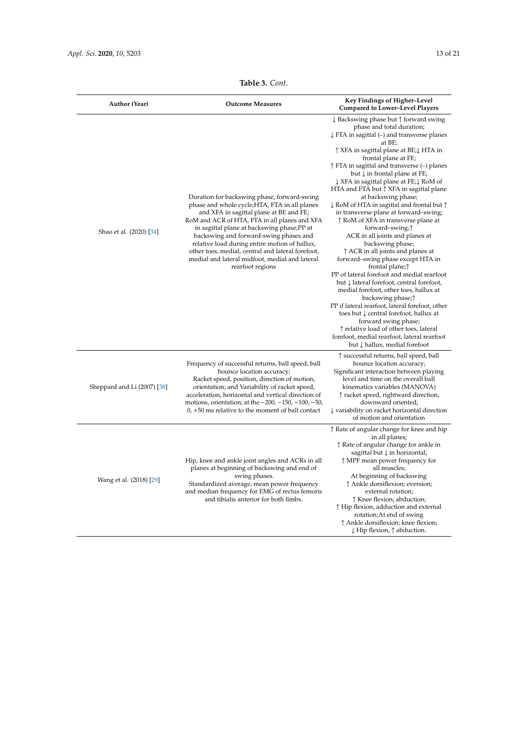**Table 3.** *Cont*.

| Author (Year)               | <b>Outcome Measures</b>                                                                                                                                                                                                                                                                                                                                                                                                                                      | Key Findings of Higher-Level<br><b>Compared to Lower-Level Players</b>                                                                                                                                                                                                                                                                                                                                                                                                                                                                                                                                                                                                                                                                                                                                                                                                                                                                                                                                                                                                                                                                                                                                       |
|-----------------------------|--------------------------------------------------------------------------------------------------------------------------------------------------------------------------------------------------------------------------------------------------------------------------------------------------------------------------------------------------------------------------------------------------------------------------------------------------------------|--------------------------------------------------------------------------------------------------------------------------------------------------------------------------------------------------------------------------------------------------------------------------------------------------------------------------------------------------------------------------------------------------------------------------------------------------------------------------------------------------------------------------------------------------------------------------------------------------------------------------------------------------------------------------------------------------------------------------------------------------------------------------------------------------------------------------------------------------------------------------------------------------------------------------------------------------------------------------------------------------------------------------------------------------------------------------------------------------------------------------------------------------------------------------------------------------------------|
| Shao et al. (2020) [34]     | Duration for backswing phase, forward-swing<br>phase and whole cycle;HTA, FTA in all planes<br>and XFA in sagittal plane at BE and FE;<br>RoM and ACR of HTA, FTA in all planes and XFA<br>in sagittal plane at backswing phase; PP at<br>backswing and forward-swing phases and<br>relative load during entire motion of hallux,<br>other toes, medial, central and lateral forefoot,<br>medial and lateral midfoot, medial and lateral<br>rearfoot regions | ↓ Backswing phase but ↑ forward swing<br>phase and total duration;<br>↓ FTA in sagittal (–) and transverse planes<br>at BE;<br>↑ XFA in sagittal plane at BE;↓ HTA in<br>frontal plane at FE;<br>↑ FTA in sagittal and transverse (–) planes<br>but $\downarrow$ in frontal plane at FE;<br>$\downarrow$ XFA in sagittal plane at FE; $\downarrow$ RoM of<br>HTA and FTA but ↑ XFA in sagittal plane<br>at backswing phase;<br>↓ RoM of HTA in sagittal and frontal but ↑<br>in transverse plane at forward-swing;<br>↑ RoM of XFA in transverse plane at<br>forward-swing; <sup>†</sup><br>ACR in all joints and planes at<br>backswing phase;<br>$\uparrow$ ACR in all joints and planes at<br>forward-swing phase except HTA in<br>frontal plane; <sup>1</sup><br>PP of lateral forefoot and medial rearfoot<br>but $\downarrow$ lateral forefoot, central forefoot,<br>medial forefoot, other toes, hallux at<br>backswing phase; <sup>1</sup><br>PP if lateral rearfoot, lateral forefoot, other<br>toes but ↓ central forefoot, hallux at<br>forward swing phase;<br>↑ relative load of other toes, lateral<br>forefoot, medial rearfoot, lateral rearfoot<br>but $\downarrow$ hallux, medial forefoot |
| Sheppard and Li (2007) [38] | Frequency of successful returns, ball speed, ball<br>bounce location accuracy;<br>Racket speed, position, direction of motion,<br>orientation; and Variability of racket speed,<br>acceleration, horizontal and vertical direction of<br>motions, orientation; at the $-200$ , $-150$ , $-100$ , $-50$ ,<br>$0, +50$ ms relative to the moment of ball contact                                                                                               | ↑ successful returns, ball speed, ball<br>bounce location accuracy;<br>Significant interaction between playing<br>level and time on the overall ball<br>kinematics variables (MANOVA)<br>↑ racket speed, rightward direction,<br>downward oriented;<br>↓ variability on racket horizontal direction<br>of motion and orientation                                                                                                                                                                                                                                                                                                                                                                                                                                                                                                                                                                                                                                                                                                                                                                                                                                                                             |
| Wang et al. (2018) [29]     | Hip, knee and ankle joint angles and ACRs in all<br>planes at beginning of backswing and end of<br>swing phases.<br>Standardized average, mean power frequency<br>and median frequency for EMG of rectus femoris<br>and tibialis anterior for both limbs.                                                                                                                                                                                                    | ↑ Rate of angular change for knee and hip<br>in all planes;<br>↑ Rate of angular change for ankle in<br>sagittal but $\downarrow$ in horizontal;<br>↑ MPF mean power frequency for<br>all muscles;<br>At beginning of backswing<br>↑ Ankle dorsiflexion; eversion;<br>external rotation;<br>↑ Knee flexion; abduction;<br>↑ Hip flexion, adduction and external<br>rotation; At end of swing<br>↑ Ankle dorsiflexion; knee flexion;<br>↓ Hip flexion, ↑ abduction.                                                                                                                                                                                                                                                                                                                                                                                                                                                                                                                                                                                                                                                                                                                                           |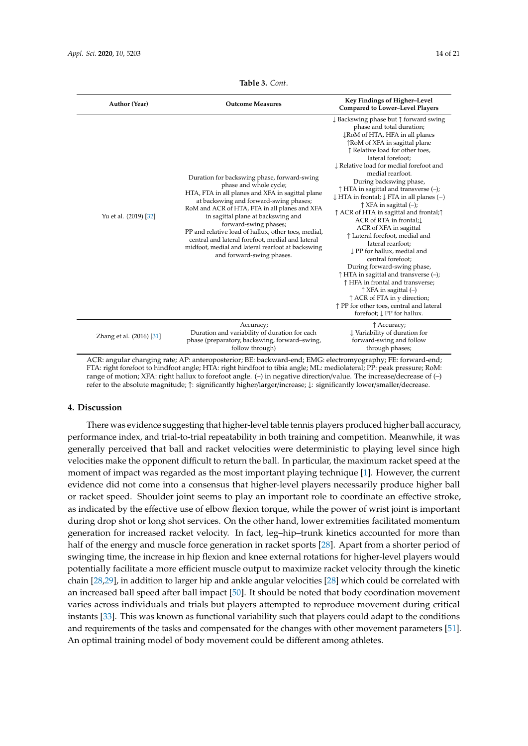| <b>Author (Year)</b>     | <b>Outcome Measures</b>                                                                                                                                                                                                                                                                                                                                                                                                                                                          | Key Findings of Higher-Level<br>Compared to Lower-Level Players                                                                                                                                                                                                                                                                                                                                                                                                                                                                                                                                                                                                                                                                                                                                                                                                                                       |
|--------------------------|----------------------------------------------------------------------------------------------------------------------------------------------------------------------------------------------------------------------------------------------------------------------------------------------------------------------------------------------------------------------------------------------------------------------------------------------------------------------------------|-------------------------------------------------------------------------------------------------------------------------------------------------------------------------------------------------------------------------------------------------------------------------------------------------------------------------------------------------------------------------------------------------------------------------------------------------------------------------------------------------------------------------------------------------------------------------------------------------------------------------------------------------------------------------------------------------------------------------------------------------------------------------------------------------------------------------------------------------------------------------------------------------------|
| Yu et al. (2019) [32]    | Duration for backswing phase, forward-swing<br>phase and whole cycle;<br>HTA, FTA in all planes and XFA in sagittal plane<br>at backswing and forward-swing phases;<br>RoM and ACR of HTA, FTA in all planes and XFA<br>in sagittal plane at backswing and<br>forward-swing phases;<br>PP and relative load of hallux, other toes, medial,<br>central and lateral forefoot, medial and lateral<br>midfoot, medial and lateral rearfoot at backswing<br>and forward-swing phases. | ↓ Backswing phase but ↑ forward swing<br>phase and total duration;<br>↓RoM of HTA, HFA in all planes<br>↑RoM of XFA in sagittal plane<br>↑ Relative load for other toes,<br>lateral forefoot:<br>L Relative load for medial forefoot and<br>medial rearfoot.<br>During backswing phase,<br>↑ HTA in sagittal and transverse (-);<br>$\downarrow$ HTA in frontal; $\downarrow$ FTA in all planes (-)<br>$\uparrow$ XFA in sagittal (-);<br>↑ ACR of HTA in sagittal and frontal;↑<br>ACR of RTA in frontal;<br>ACR of XFA in sagittal<br>↑ Lateral forefoot, medial and<br>lateral rearfoot;<br>PP for hallux, medial and<br>central forefoot;<br>During forward-swing phase,<br>↑ HTA in sagittal and transverse (-);<br>↑ HFA in frontal and transverse;<br>$\uparrow$ XFA in sagittal (-)<br>↑ ACR of FTA in y direction;<br>↑ PP for other toes, central and lateral<br>forefoot; ↓ PP for hallux. |
| Zhang et al. (2016) [31] | Accuracy;<br>Duration and variability of duration for each<br>phase (preparatory, backswing, forward-swing,<br>follow through)                                                                                                                                                                                                                                                                                                                                                   | ↑ Accuracy;<br>↓ Variability of duration for<br>forward-swing and follow<br>through phases;                                                                                                                                                                                                                                                                                                                                                                                                                                                                                                                                                                                                                                                                                                                                                                                                           |

ACR: angular changing rate; AP: anteroposterior; BE: backward-end; EMG: electromyography; FE: forward-end; FTA: right forefoot to hindfoot angle; HTA: right hindfoot to tibia angle; ML: mediolateral; PP: peak pressure; RoM: range of motion; XFA: right hallux to forefoot angle. (–) in negative direction/value. The increase/decrease of (–) refer to the absolute magnitude; ↑: significantly higher/larger/increase; ↓: significantly lower/smaller/decrease.

#### **4. Discussion**

There was evidence suggesting that higher-level table tennis players produced higher ball accuracy, performance index, and trial-to-trial repeatability in both training and competition. Meanwhile, it was generally perceived that ball and racket velocities were deterministic to playing level since high velocities make the opponent difficult to return the ball. In particular, the maximum racket speed at the moment of impact was regarded as the most important playing technique [\[1\]](#page-18-0). However, the current evidence did not come into a consensus that higher-level players necessarily produce higher ball or racket speed. Shoulder joint seems to play an important role to coordinate an effective stroke, as indicated by the effective use of elbow flexion torque, while the power of wrist joint is important during drop shot or long shot services. On the other hand, lower extremities facilitated momentum generation for increased racket velocity. In fact, leg–hip–trunk kinetics accounted for more than half of the energy and muscle force generation in racket sports [\[28\]](#page-19-16). Apart from a shorter period of swinging time, the increase in hip flexion and knee external rotations for higher-level players would potentially facilitate a more efficient muscle output to maximize racket velocity through the kinetic chain [\[28,](#page-19-16)[29\]](#page-19-22), in addition to larger hip and ankle angular velocities [\[28\]](#page-19-16) which could be correlated with an increased ball speed after ball impact [\[50\]](#page-20-14). It should be noted that body coordination movement varies across individuals and trials but players attempted to reproduce movement during critical instants [\[33\]](#page-19-18). This was known as functional variability such that players could adapt to the conditions and requirements of the tasks and compensated for the changes with other movement parameters [\[51\]](#page-20-15). An optimal training model of body movement could be different among athletes.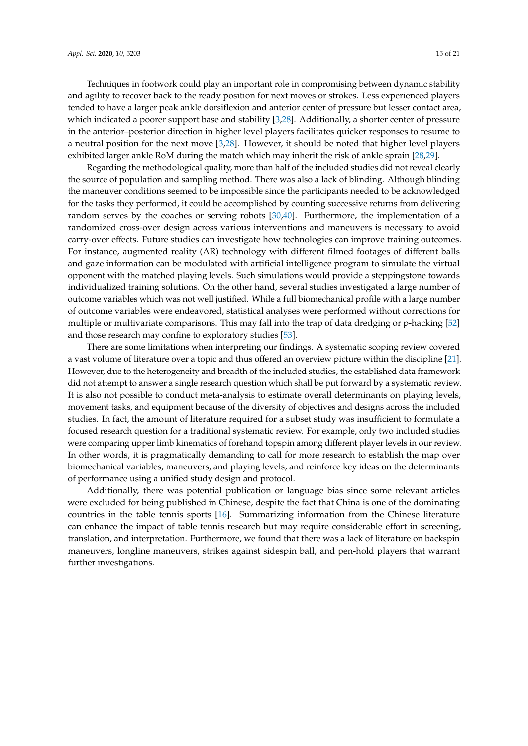Techniques in footwork could play an important role in compromising between dynamic stability and agility to recover back to the ready position for next moves or strokes. Less experienced players tended to have a larger peak ankle dorsiflexion and anterior center of pressure but lesser contact area, which indicated a poorer support base and stability [\[3,](#page-18-2)[28\]](#page-19-16). Additionally, a shorter center of pressure in the anterior–posterior direction in higher level players facilitates quicker responses to resume to a neutral position for the next move [\[3](#page-18-2)[,28\]](#page-19-16). However, it should be noted that higher level players exhibited larger ankle RoM during the match which may inherit the risk of ankle sprain [\[28](#page-19-16)[,29\]](#page-19-22).

Regarding the methodological quality, more than half of the included studies did not reveal clearly the source of population and sampling method. There was also a lack of blinding. Although blinding the maneuver conditions seemed to be impossible since the participants needed to be acknowledged for the tasks they performed, it could be accomplished by counting successive returns from delivering random serves by the coaches or serving robots [\[30,](#page-19-23)[40\]](#page-20-4). Furthermore, the implementation of a randomized cross-over design across various interventions and maneuvers is necessary to avoid carry-over effects. Future studies can investigate how technologies can improve training outcomes. For instance, augmented reality (AR) technology with different filmed footages of different balls and gaze information can be modulated with artificial intelligence program to simulate the virtual opponent with the matched playing levels. Such simulations would provide a steppingstone towards individualized training solutions. On the other hand, several studies investigated a large number of outcome variables which was not well justified. While a full biomechanical profile with a large number of outcome variables were endeavored, statistical analyses were performed without corrections for multiple or multivariate comparisons. This may fall into the trap of data dredging or p-hacking [\[52\]](#page-20-16) and those research may confine to exploratory studies [\[53\]](#page-20-17).

There are some limitations when interpreting our findings. A systematic scoping review covered a vast volume of literature over a topic and thus offered an overview picture within the discipline [\[21\]](#page-19-9). However, due to the heterogeneity and breadth of the included studies, the established data framework did not attempt to answer a single research question which shall be put forward by a systematic review. It is also not possible to conduct meta-analysis to estimate overall determinants on playing levels, movement tasks, and equipment because of the diversity of objectives and designs across the included studies. In fact, the amount of literature required for a subset study was insufficient to formulate a focused research question for a traditional systematic review. For example, only two included studies were comparing upper limb kinematics of forehand topspin among different player levels in our review. In other words, it is pragmatically demanding to call for more research to establish the map over biomechanical variables, maneuvers, and playing levels, and reinforce key ideas on the determinants of performance using a unified study design and protocol.

Additionally, there was potential publication or language bias since some relevant articles were excluded for being published in Chinese, despite the fact that China is one of the dominating countries in the table tennis sports [\[16\]](#page-19-24). Summarizing information from the Chinese literature can enhance the impact of table tennis research but may require considerable effort in screening, translation, and interpretation. Furthermore, we found that there was a lack of literature on backspin maneuvers, longline maneuvers, strikes against sidespin ball, and pen-hold players that warrant further investigations.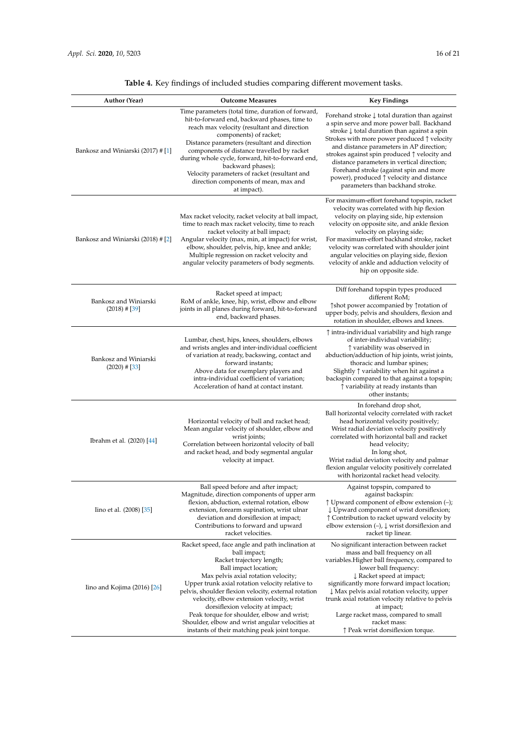<span id="page-15-0"></span>

| <b>Author (Year)</b>                     | <b>Outcome Measures</b>                                                                                                                                                                                                                                                                                                                                                                                                                                                                                     | <b>Key Findings</b>                                                                                                                                                                                                                                                                                                                                                                                                                                                                                   |
|------------------------------------------|-------------------------------------------------------------------------------------------------------------------------------------------------------------------------------------------------------------------------------------------------------------------------------------------------------------------------------------------------------------------------------------------------------------------------------------------------------------------------------------------------------------|-------------------------------------------------------------------------------------------------------------------------------------------------------------------------------------------------------------------------------------------------------------------------------------------------------------------------------------------------------------------------------------------------------------------------------------------------------------------------------------------------------|
| Bankosz and Winiarski $(2017)$ # $[1]$   | Time parameters (total time, duration of forward,<br>hit-to-forward end, backward phases, time to<br>reach max velocity (resultant and direction<br>components) of racket;<br>Distance parameters (resultant and direction<br>components of distance travelled by racket<br>during whole cycle, forward, hit-to-forward end,<br>backward phases);<br>Velocity parameters of racket (resultant and<br>direction components of mean, max and<br>at impact).                                                   | Forehand stroke $\downarrow$ total duration than against<br>a spin serve and more power ball. Backhand<br>stroke $\downarrow$ total duration than against a spin<br>Strokes with more power produced ↑ velocity<br>and distance parameters in AP direction;<br>strokes against spin produced $\uparrow$ velocity and<br>distance parameters in vertical direction;<br>Forehand stroke (against spin and more<br>power), produced $\uparrow$ velocity and distance<br>parameters than backhand stroke. |
| Bankosz and Winiarski (2018) # [2]       | Max racket velocity, racket velocity at ball impact,<br>time to reach max racket velocity, time to reach<br>racket velocity at ball impact;<br>Angular velocity (max, min, at impact) for wrist,<br>elbow, shoulder, pelvis, hip, knee and ankle;<br>Multiple regression on racket velocity and<br>angular velocity parameters of body segments.                                                                                                                                                            | For maximum-effort forehand topspin, racket<br>velocity was correlated with hip flexion<br>velocity on playing side, hip extension<br>velocity on opposite site, and ankle flexion<br>velocity on playing side;<br>For maximum-effort backhand stroke, racket<br>velocity was correlated with shoulder joint<br>angular velocities on playing side, flexion<br>velocity of ankle and adduction velocity of<br>hip on opposite side.                                                                   |
| Bankosz and Winiarski<br>$(2018)$ # [39] | Racket speed at impact;<br>RoM of ankle, knee, hip, wrist, elbow and elbow<br>joints in all planes during forward, hit-to-forward<br>end, backward phases.                                                                                                                                                                                                                                                                                                                                                  | Diff forehand topspin types produced<br>different RoM;<br>↑shot power accompanied by ↑rotation of<br>upper body, pelvis and shoulders, flexion and<br>rotation in shoulder, elbows and knees.                                                                                                                                                                                                                                                                                                         |
| Bankosz and Winiarski<br>$(2020)$ # [33] | Lumbar, chest, hips, knees, shoulders, elbows<br>and wrists angles and inter-individual coefficient<br>of variation at ready, backswing, contact and<br>forward instants;<br>Above data for exemplary players and<br>intra-individual coefficient of variation;<br>Acceleration of hand at contact instant.                                                                                                                                                                                                 | ↑ intra-individual variability and high range<br>of inter-individual variability;<br>↑ variability was observed in<br>abduction/adduction of hip joints, wrist joints,<br>thoracic and lumbar spines;<br>Slightly $\uparrow$ variability when hit against a<br>backspin compared to that against a topspin;<br>↑ variability at ready instants than<br>other instants;                                                                                                                                |
| Ibrahm et al. (2020) [44]                | Horizontal velocity of ball and racket head;<br>Mean angular velocity of shoulder, elbow and<br>wrist joints;<br>Correlation between horizontal velocity of ball<br>and racket head, and body segmental angular<br>velocity at impact.                                                                                                                                                                                                                                                                      | In forehand drop shot,<br>Ball horizontal velocity correlated with racket<br>head horizontal velocity positively;<br>Wrist radial deviation velocity positively<br>correlated with horizontal ball and racket<br>head velocity;<br>In long shot,<br>Wrist radial deviation velocity and palmar<br>flexion angular velocity positively correlated<br>with horizontal racket head velocity.                                                                                                             |
| lino et al. (2008) [35]                  | Ball speed before and after impact;<br>Magnitude, direction components of upper arm<br>flexion, abduction, external rotation, elbow<br>extension, forearm supination, wrist ulnar<br>deviation and dorsiflexion at impact;<br>Contributions to forward and upward<br>racket velocities.                                                                                                                                                                                                                     | Against topspin, compared to<br>against backspin:<br>↑ Upward component of elbow extension (-);<br>↓ Upward component of wrist dorsiflexion;<br>↑ Contribution to racket upward velocity by<br>elbow extension $(-)$ , $\downarrow$ wrist dorsiflexion and<br>racket tip linear.                                                                                                                                                                                                                      |
| Iino and Kojima $(2016)$ $[26]$          | Racket speed, face angle and path inclination at<br>ball impact;<br>Racket trajectory length;<br>Ball impact location;<br>Max pelvis axial rotation velocity;<br>Upper trunk axial rotation velocity relative to<br>pelvis, shoulder flexion velocity, external rotation<br>velocity, elbow extension velocity, wrist<br>dorsiflexion velocity at impact;<br>Peak torque for shoulder, elbow and wrist;<br>Shoulder, elbow and wrist angular velocities at<br>instants of their matching peak joint torque. | No significant interaction between racket<br>mass and ball frequency on all<br>variables. Higher ball frequency, compared to<br>lower ball frequency:<br>$\downarrow$ Racket speed at impact;<br>significantly more forward impact location;<br>$\downarrow$ Max pelvis axial rotation velocity, upper<br>trunk axial rotation velocity relative to pelvis<br>at impact;<br>Large racket mass, compared to small<br>racket mass:<br>↑ Peak wrist dorsiflexion torque.                                 |

## **Table 4.** Key findings of included studies comparing different movement tasks.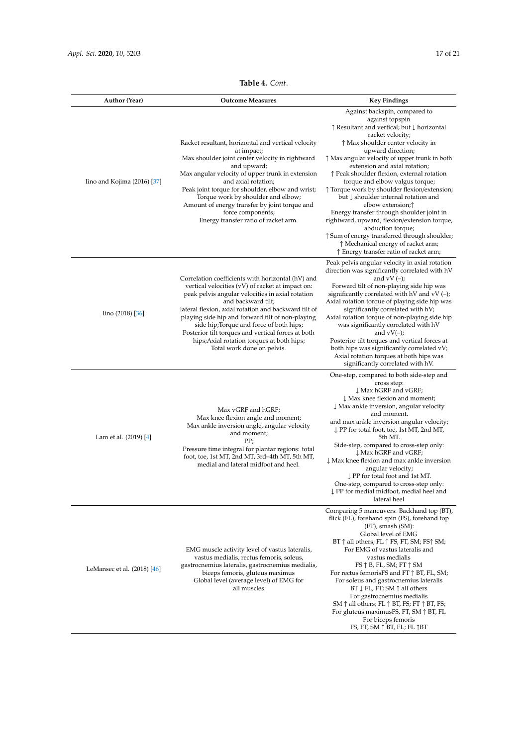| Table 4. Cont. |  |
|----------------|--|
|----------------|--|

| <b>Author (Year)</b>          | <b>Outcome Measures</b>                                                                                                                                                                                                                                                                                                                                                                                                                                                  | <b>Key Findings</b>                                                                                                                                                                                                                                                                                                                                                                                                                                                                                                                                                                                                                                                                                                                    |
|-------------------------------|--------------------------------------------------------------------------------------------------------------------------------------------------------------------------------------------------------------------------------------------------------------------------------------------------------------------------------------------------------------------------------------------------------------------------------------------------------------------------|----------------------------------------------------------------------------------------------------------------------------------------------------------------------------------------------------------------------------------------------------------------------------------------------------------------------------------------------------------------------------------------------------------------------------------------------------------------------------------------------------------------------------------------------------------------------------------------------------------------------------------------------------------------------------------------------------------------------------------------|
| Iino and Kojima $(2016)$ [37] | Racket resultant, horizontal and vertical velocity<br>at impact;<br>Max shoulder joint center velocity in rightward<br>and upward;<br>Max angular velocity of upper trunk in extension<br>and axial rotation;<br>Peak joint torque for shoulder, elbow and wrist;<br>Torque work by shoulder and elbow;<br>Amount of energy transfer by joint torque and<br>force components;<br>Energy transfer ratio of racket arm.                                                    | Against backspin, compared to<br>against topspin<br>↑ Resultant and vertical; but ↓ horizontal<br>racket velocity;<br>↑ Max shoulder center velocity in<br>upward direction;<br>↑ Max angular velocity of upper trunk in both<br>extension and axial rotation;<br>↑ Peak shoulder flexion, external rotation<br>torque and elbow valgus torque;<br>↑ Torque work by shoulder flexion/extension;<br>but $\downarrow$ shoulder internal rotation and<br>elbow extension; <sup>1</sup><br>Energy transfer through shoulder joint in<br>rightward, upward, flexion/extension torque,<br>abduction torque;<br>↑ Sum of energy transferred through shoulder;<br>↑ Mechanical energy of racket arm;<br>↑ Energy transfer ratio of racket arm; |
| $\text{lino} (2018) [36]$     | Correlation coefficients with horizontal (hV) and<br>vertical velocities (vV) of racket at impact on:<br>peak pelvis angular velocities in axial rotation<br>and backward tilt;<br>lateral flexion, axial rotation and backward tilt of<br>playing side hip and forward tilt of non-playing<br>side hip;Torque and force of both hips;<br>Posterior tilt torques and vertical forces at both<br>hips; Axial rotation torques at both hips;<br>Total work done on pelvis. | Peak pelvis angular velocity in axial rotation<br>direction was significantly correlated with hV<br>and $vV(-)$ ;<br>Forward tilt of non-playing side hip was<br>significantly correlated with $hV$ and $vV$ (-);<br>Axial rotation torque of playing side hip was<br>significantly correlated with hV;<br>Axial rotation torque of non-playing side hip<br>was significantly correlated with hV<br>and $vV(-)$ ;<br>Posterior tilt torques and vertical forces at<br>both hips was significantly correlated vV;<br>Axial rotation torques at both hips was<br>significantly correlated with hV.                                                                                                                                       |
| Lam et al. (2019) [4]         | Max vGRF and hGRF;<br>Max knee flexion angle and moment;<br>Max ankle inversion angle, angular velocity<br>and moment;<br>PP;<br>Pressure time integral for plantar regions: total<br>foot, toe, 1st MT, 2nd MT, 3rd-4th MT, 5th MT,<br>medial and lateral midfoot and heel.                                                                                                                                                                                             | One-step, compared to both side-step and<br>cross step:<br>↓ Max hGRF and vGRF;<br>↓ Max knee flexion and moment;<br>$\downarrow$ Max ankle inversion, angular velocity<br>and moment.<br>and max ankle inversion angular velocity;<br>↓ PP for total foot, toe, 1st MT, 2nd MT,<br>5th MT.<br>Side-step, compared to cross-step only:<br>J Max hGRF and vGRF;<br>$\downarrow$ Max knee flexion and max ankle inversion<br>angular velocity;<br>↓ PP for total foot and 1st MT.<br>One-step, compared to cross-step only:<br>↓ PP for medial midfoot, medial heel and<br>lateral heel                                                                                                                                                  |
| LeMansec et al. (2018) [46]   | EMG muscle activity level of vastus lateralis,<br>vastus medialis, rectus femoris, soleus,<br>gastrocnemius lateralis, gastrocnemius medialis,<br>biceps femoris, gluteus maximus<br>Global level (average level) of EMG for<br>all muscles                                                                                                                                                                                                                              | Comparing 5 maneuvers: Backhand top (BT),<br>flick (FL), forehand spin (FS), forehand top<br>$(FT)$ , smash $(SM)$ :<br>Global level of EMG<br>BT ↑ all others; FL ↑ FS, FT, SM; FS↑ SM;<br>For EMG of vastus lateralis and<br>vastus medialis<br>$FS \uparrow B$ , FL, SM; FT $\uparrow$ SM<br>For rectus femorisFS and FT $\uparrow$ BT, FL, SM;<br>For soleus and gastrocnemius lateralis<br>$BT \downarrow FL$ , FT; SM $\uparrow$ all others<br>For gastrocnemius medialis<br>SM $\uparrow$ all others; FL $\uparrow$ BT, FS; FT $\uparrow$ BT, FS;<br>For gluteus maximusFS, FT, SM $\uparrow$ BT, FL<br>For biceps femoris<br>FS, FT, SM $\uparrow$ BT, FL; FL $\uparrow$ BT                                                    |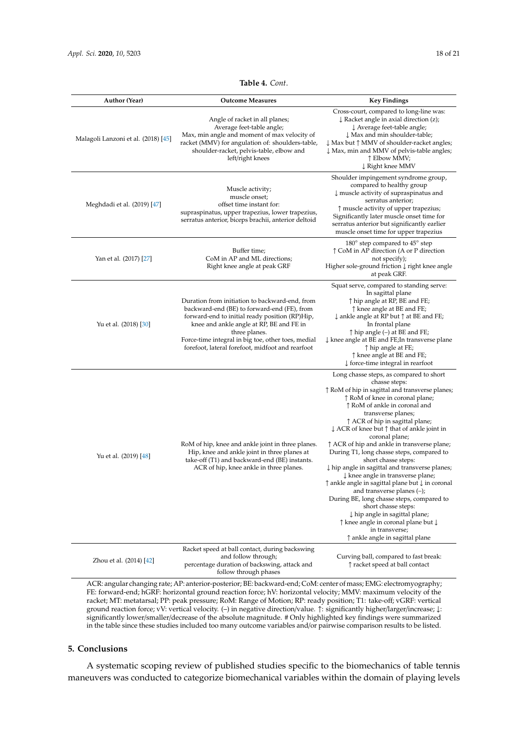#### **Table 4.** *Cont*.

| Author (Year)                       | <b>Outcome Measures</b>                                                                                                                                                                                                                                                                                                | <b>Key Findings</b>                                                                                                                                                                                                                                                                                                                                                                                                                                                                                                                                                                                                                                                                                                                                                                                                                              |
|-------------------------------------|------------------------------------------------------------------------------------------------------------------------------------------------------------------------------------------------------------------------------------------------------------------------------------------------------------------------|--------------------------------------------------------------------------------------------------------------------------------------------------------------------------------------------------------------------------------------------------------------------------------------------------------------------------------------------------------------------------------------------------------------------------------------------------------------------------------------------------------------------------------------------------------------------------------------------------------------------------------------------------------------------------------------------------------------------------------------------------------------------------------------------------------------------------------------------------|
| Malagoli Lanzoni et al. (2018) [45] | Angle of racket in all planes;<br>Average feet-table angle;<br>Max, min angle and moment of max velocity of<br>racket (MMV) for angulation of: shoulders-table,<br>shoulder-racket, pelvis-table, elbow and<br>left/right knees                                                                                        | Cross-court, compared to long-line was:<br>$\downarrow$ Racket angle in axial direction (z);<br>$\downarrow$ Average feet-table angle;<br>↓ Max and min shoulder-table;<br>↓ Max but ↑ MMV of shoulder-racket angles;<br>↓ Max, min and MMV of pelvis-table angles;<br>↑ Elbow MMV;<br>$\downarrow$ Right knee MMV                                                                                                                                                                                                                                                                                                                                                                                                                                                                                                                               |
| Meghdadi et al. (2019) [47]         | Muscle activity;<br>muscle onset;<br>offset time instant for:<br>supraspinatus, upper trapezius, lower trapezius,<br>serratus anterior, biceps brachii, anterior deltoid                                                                                                                                               | Shoulder impingement syndrome group,<br>compared to healthy group<br>$\downarrow$ muscle activity of supraspinatus and<br>serratus anterior;<br>↑ muscle activity of upper trapezius;<br>Significantly later muscle onset time for<br>serratus anterior but significantly earlier<br>muscle onset time for upper trapezius                                                                                                                                                                                                                                                                                                                                                                                                                                                                                                                       |
| Yan et al. (2017) [27]              | Buffer time;<br>CoM in AP and ML directions;<br>Right knee angle at peak GRF                                                                                                                                                                                                                                           | $180^{\circ}$ step compared to $45^{\circ}$ step<br>↑ CoM in AP direction (A or P direction<br>not specify);<br>Higher sole-ground friction ↓ right knee angle<br>at peak GRF.                                                                                                                                                                                                                                                                                                                                                                                                                                                                                                                                                                                                                                                                   |
| Yu et al. (2018) [30]               | Duration from initiation to backward-end, from<br>backward-end (BE) to forward-end (FE), from<br>forward-end to initial ready position (RP)Hip,<br>knee and ankle angle at RP, BE and FE in<br>three planes.<br>Force-time integral in big toe, other toes, medial<br>forefoot, lateral forefoot, midfoot and rearfoot | Squat serve, compared to standing serve:<br>In sagittal plane<br>↑ hip angle at RP, BE and FE;<br>↑ knee angle at BE and FE;<br>$\downarrow$ ankle angle at RP but $\uparrow$ at BE and FE;<br>In frontal plane<br>↑ hip angle (–) at BE and FE;<br>$\downarrow$ knee angle at BE and FE;<br>In transverse plane<br>↑ hip angle at FE;<br>↑ knee angle at BE and FE;<br>$\downarrow$ force-time integral in rearfoot                                                                                                                                                                                                                                                                                                                                                                                                                             |
| Yu et al. (2019) [48]               | RoM of hip, knee and ankle joint in three planes.<br>Hip, knee and ankle joint in three planes at<br>take-off (T1) and backward-end (BE) instants.<br>ACR of hip, knee ankle in three planes.                                                                                                                          | Long chasse steps, as compared to short<br>chasse steps:<br>↑ RoM of hip in sagittal and transverse planes;<br>↑ RoM of knee in coronal plane;<br>↑ RoM of ankle in coronal and<br>transverse planes;<br>↑ ACR of hip in sagittal plane;<br>↓ ACR of knee but ↑ that of ankle joint in<br>coronal plane;<br>↑ ACR of hip and ankle in transverse plane;<br>During T1, long chasse steps, compared to<br>short chasse steps:<br>↓ hip angle in sagittal and transverse planes;<br>$\downarrow$ knee angle in transverse plane;<br>$\uparrow$ ankle angle in sagittal plane but $\downarrow$ in coronal<br>and transverse planes (-);<br>During BE, long chasse steps, compared to<br>short chasse steps:<br>$\downarrow$ hip angle in sagittal plane;<br>↑ knee angle in coronal plane but ↓<br>in transverse;<br>↑ ankle angle in sagittal plane |
| Zhou et al. (2014) [42]             | Racket speed at ball contact, during backswing<br>and follow through;<br>percentage duration of backswing, attack and<br>follow through phases                                                                                                                                                                         | Curving ball, compared to fast break:<br>↑ racket speed at ball contact                                                                                                                                                                                                                                                                                                                                                                                                                                                                                                                                                                                                                                                                                                                                                                          |

ACR: angular changing rate; AP: anterior-posterior; BE: backward-end; CoM: center of mass; EMG: electromyography; FE: forward-end; hGRF: horizontal ground reaction force; hV: horizontal velocity; MMV: maximum velocity of the racket; MT: metatarsal; PP: peak pressure; RoM: Range of Motion; RP: ready position; T1: take-off; vGRF: vertical ground reaction force; vV: vertical velocity. (–) in negative direction/value. ↑: significantly higher/larger/increase; ↓: significantly lower/smaller/decrease of the absolute magnitude. # Only highlighted key findings were summarized in the table since these studies included too many outcome variables and/or pairwise comparison results to be listed.

#### **5. Conclusions**

A systematic scoping review of published studies specific to the biomechanics of table tennis maneuvers was conducted to categorize biomechanical variables within the domain of playing levels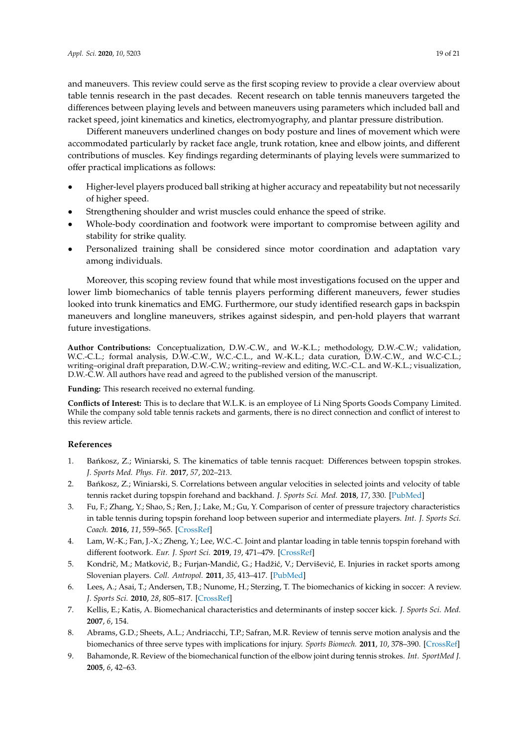and maneuvers. This review could serve as the first scoping review to provide a clear overview about table tennis research in the past decades. Recent research on table tennis maneuvers targeted the differences between playing levels and between maneuvers using parameters which included ball and racket speed, joint kinematics and kinetics, electromyography, and plantar pressure distribution.

Different maneuvers underlined changes on body posture and lines of movement which were accommodated particularly by racket face angle, trunk rotation, knee and elbow joints, and different contributions of muscles. Key findings regarding determinants of playing levels were summarized to offer practical implications as follows:

- Higher-level players produced ball striking at higher accuracy and repeatability but not necessarily of higher speed.
- Strengthening shoulder and wrist muscles could enhance the speed of strike.
- Whole-body coordination and footwork were important to compromise between agility and stability for strike quality.
- Personalized training shall be considered since motor coordination and adaptation vary among individuals.

Moreover, this scoping review found that while most investigations focused on the upper and lower limb biomechanics of table tennis players performing different maneuvers, fewer studies looked into trunk kinematics and EMG. Furthermore, our study identified research gaps in backspin maneuvers and longline maneuvers, strikes against sidespin, and pen-hold players that warrant future investigations.

**Author Contributions:** Conceptualization, D.W.-C.W., and W.-K.L.; methodology, D.W.-C.W.; validation, W.C.-C.L.; formal analysis, D.W.-C.W., W.C.-C.L., and W.-K.L.; data curation, D.W.-C.W., and W.C-C.L.; writing–original draft preparation, D.W.-C.W.; writing–review and editing, W.C.-C.L. and W.-K.L.; visualization, D.W.-C.W. All authors have read and agreed to the published version of the manuscript.

**Funding:** This research received no external funding.

**Conflicts of Interest:** This is to declare that W.L.K. is an employee of Li Ning Sports Goods Company Limited. While the company sold table tennis rackets and garments, there is no direct connection and conflict of interest to this review article.

#### **References**

- <span id="page-18-0"></span>1. Bankosz, Z.; Winiarski, S. The kinematics of table tennis racquet: Differences between topspin strokes. *J. Sports Med. Phys. Fit.* **2017**, *57*, 202–213.
- <span id="page-18-1"></span>2. Bańkosz, Z.; Winiarski, S. Correlations between angular velocities in selected joints and velocity of table tennis racket during topspin forehand and backhand. *J. Sports Sci. Med.* **2018**, *17*, 330. [\[PubMed\]](http://www.ncbi.nlm.nih.gov/pubmed/29769835)
- <span id="page-18-2"></span>3. Fu, F.; Zhang, Y.; Shao, S.; Ren, J.; Lake, M.; Gu, Y. Comparison of center of pressure trajectory characteristics in table tennis during topspin forehand loop between superior and intermediate players. *Int. J. Sports Sci. Coach.* **2016**, *11*, 559–565. [\[CrossRef\]](http://dx.doi.org/10.1177/1747954116654778)
- <span id="page-18-3"></span>4. Lam, W.-K.; Fan, J.-X.; Zheng, Y.; Lee, W.C.-C. Joint and plantar loading in table tennis topspin forehand with different footwork. *Eur. J. Sport Sci.* **2019**, *19*, 471–479. [\[CrossRef\]](http://dx.doi.org/10.1080/17461391.2018.1534993)
- <span id="page-18-4"></span>5. Kondrič, M.; Matković, B.; Furjan-Mandić, G.; Hadžić, V.; Dervišević, E. Injuries in racket sports among Slovenian players. *Coll. Antropol.* **2011**, *35*, 413–417. [\[PubMed\]](http://www.ncbi.nlm.nih.gov/pubmed/21755712)
- <span id="page-18-5"></span>6. Lees, A.; Asai, T.; Andersen, T.B.; Nunome, H.; Sterzing, T. The biomechanics of kicking in soccer: A review. *J. Sports Sci.* **2010**, *28*, 805–817. [\[CrossRef\]](http://dx.doi.org/10.1080/02640414.2010.481305)
- <span id="page-18-6"></span>7. Kellis, E.; Katis, A. Biomechanical characteristics and determinants of instep soccer kick. *J. Sports Sci. Med.* **2007**, *6*, 154.
- <span id="page-18-7"></span>8. Abrams, G.D.; Sheets, A.L.; Andriacchi, T.P.; Safran, M.R. Review of tennis serve motion analysis and the biomechanics of three serve types with implications for injury. *Sports Biomech.* **2011**, *10*, 378–390. [\[CrossRef\]](http://dx.doi.org/10.1080/14763141.2011.629302)
- <span id="page-18-8"></span>9. Bahamonde, R. Review of the biomechanical function of the elbow joint during tennis strokes. *Int. SportMed J.* **2005**, *6*, 42–63.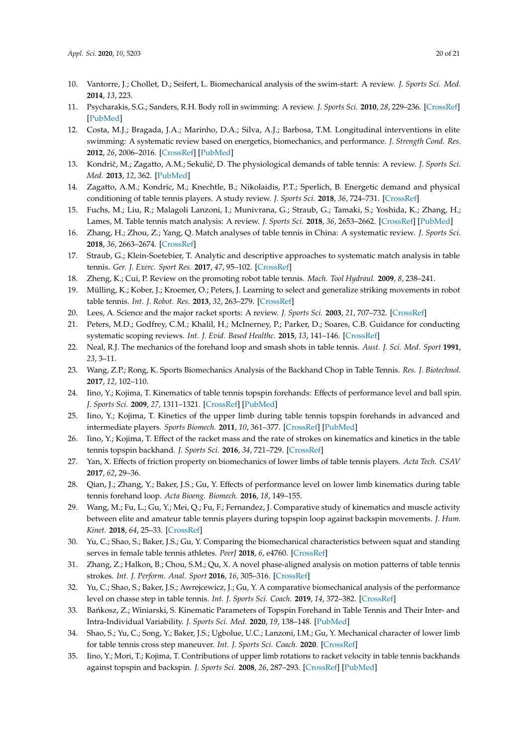- <span id="page-19-0"></span>10. Vantorre, J.; Chollet, D.; Seifert, L. Biomechanical analysis of the swim-start: A review. *J. Sports Sci. Med.* **2014**, *13*, 223.
- 11. Psycharakis, S.G.; Sanders, R.H. Body roll in swimming: A review. *J. Sports Sci.* **2010**, *28*, 229–236. [\[CrossRef\]](http://dx.doi.org/10.1080/02640410903508847) [\[PubMed\]](http://www.ncbi.nlm.nih.gov/pubmed/20131140)
- <span id="page-19-1"></span>12. Costa, M.J.; Bragada, J.A.; Marinho, D.A.; Silva, A.J.; Barbosa, T.M. Longitudinal interventions in elite swimming: A systematic review based on energetics, biomechanics, and performance. *J. Strength Cond. Res.* **2012**, *26*, 2006–2016. [\[CrossRef\]](http://dx.doi.org/10.1519/JSC.0b013e318257807f) [\[PubMed\]](http://www.ncbi.nlm.nih.gov/pubmed/22531620)
- <span id="page-19-2"></span>13. Kondriˇc, M.; Zagatto, A.M.; Sekuli´c, D. The physiological demands of table tennis: A review. *J. Sports Sci. Med.* **2013**, *12*, 362. [\[PubMed\]](http://www.ncbi.nlm.nih.gov/pubmed/24149139)
- <span id="page-19-3"></span>14. Zagatto, A.M.; Kondric, M.; Knechtle, B.; Nikolaidis, P.T.; Sperlich, B. Energetic demand and physical conditioning of table tennis players. A study review. *J. Sports Sci.* **2018**, *36*, 724–731. [\[CrossRef\]](http://dx.doi.org/10.1080/02640414.2017.1335957)
- <span id="page-19-4"></span>15. Fuchs, M.; Liu, R.; Malagoli Lanzoni, I.; Munivrana, G.; Straub, G.; Tamaki, S.; Yoshida, K.; Zhang, H.; Lames, M. Table tennis match analysis: A review. *J. Sports Sci.* **2018**, *36*, 2653–2662. [\[CrossRef\]](http://dx.doi.org/10.1080/02640414.2018.1450073) [\[PubMed\]](http://www.ncbi.nlm.nih.gov/pubmed/29543111)
- <span id="page-19-24"></span>16. Zhang, H.; Zhou, Z.; Yang, Q. Match analyses of table tennis in China: A systematic review. *J. Sports Sci.* **2018**, *36*, 2663–2674. [\[CrossRef\]](http://dx.doi.org/10.1080/02640414.2018.1460050)
- <span id="page-19-5"></span>17. Straub, G.; Klein-Soetebier, T. Analytic and descriptive approaches to systematic match analysis in table tennis. *Ger. J. Exerc. Sport Res.* **2017**, *47*, 95–102. [\[CrossRef\]](http://dx.doi.org/10.1007/s12662-016-0431-2)
- <span id="page-19-7"></span><span id="page-19-6"></span>18. Zheng, K.; Cui, P. Review on the promoting robot table tennis. *Mach. Tool Hydraul.* **2009**, *8*, 238–241.
- 19. Mülling, K.; Kober, J.; Kroemer, O.; Peters, J. Learning to select and generalize striking movements in robot table tennis. *Int. J. Robot. Res.* **2013**, *32*, 263–279. [\[CrossRef\]](http://dx.doi.org/10.1177/0278364912472380)
- <span id="page-19-9"></span><span id="page-19-8"></span>20. Lees, A. Science and the major racket sports: A review. *J. Sports Sci.* **2003**, *21*, 707–732. [\[CrossRef\]](http://dx.doi.org/10.1080/0264041031000140275)
- 21. Peters, M.D.; Godfrey, C.M.; Khalil, H.; McInerney, P.; Parker, D.; Soares, C.B. Guidance for conducting systematic scoping reviews. *Int. J. Evid. Based Healthc.* **2015**, *13*, 141–146. [\[CrossRef\]](http://dx.doi.org/10.1097/XEB.0000000000000050)
- <span id="page-19-10"></span>22. Neal, R.J. The mechanics of the forehand loop and smash shots in table tennis. *Aust. J. Sci. Med. Sport* **1991**, *23*, 3–11.
- <span id="page-19-11"></span>23. Wang, Z.P.; Rong, K. Sports Biomechanics Analysis of the Backhand Chop in Table Tennis. *Res. J. Biotechnol.* **2017**, *12*, 102–110.
- <span id="page-19-12"></span>24. Iino, Y.; Kojima, T. Kinematics of table tennis topspin forehands: Effects of performance level and ball spin. *J. Sports Sci.* **2009**, *27*, 1311–1321. [\[CrossRef\]](http://dx.doi.org/10.1080/02640410903264458) [\[PubMed\]](http://www.ncbi.nlm.nih.gov/pubmed/19746298)
- <span id="page-19-13"></span>25. Iino, Y.; Kojima, T. Kinetics of the upper limb during table tennis topspin forehands in advanced and intermediate players. *Sports Biomech.* **2011**, *10*, 361–377. [\[CrossRef\]](http://dx.doi.org/10.1080/14763141.2011.629304) [\[PubMed\]](http://www.ncbi.nlm.nih.gov/pubmed/22303787)
- <span id="page-19-14"></span>26. Iino, Y.; Kojima, T. Effect of the racket mass and the rate of strokes on kinematics and kinetics in the table tennis topspin backhand. *J. Sports Sci.* **2016**, *34*, 721–729. [\[CrossRef\]](http://dx.doi.org/10.1080/02640414.2015.1069377)
- <span id="page-19-15"></span>27. Yan, X. Effects of friction property on biomechanics of lower limbs of table tennis players. *Acta Tech. CSAV* **2017**, *62*, 29–36.
- <span id="page-19-16"></span>28. Qian, J.; Zhang, Y.; Baker, J.S.; Gu, Y. Effects of performance level on lower limb kinematics during table tennis forehand loop. *Acta Bioeng. Biomech.* **2016**, *18*, 149–155.
- <span id="page-19-22"></span>29. Wang, M.; Fu, L.; Gu, Y.; Mei, Q.; Fu, F.; Fernandez, J. Comparative study of kinematics and muscle activity between elite and amateur table tennis players during topspin loop against backspin movements. *J. Hum. Kinet.* **2018**, *64*, 25–33. [\[CrossRef\]](http://dx.doi.org/10.1515/hukin-2017-0182)
- <span id="page-19-23"></span>30. Yu, C.; Shao, S.; Baker, J.S.; Gu, Y. Comparing the biomechanical characteristics between squat and standing serves in female table tennis athletes. *PeerJ* **2018**, *6*, e4760. [\[CrossRef\]](http://dx.doi.org/10.7717/peerj.4760)
- <span id="page-19-20"></span>31. Zhang, Z.; Halkon, B.; Chou, S.M.; Qu, X. A novel phase-aligned analysis on motion patterns of table tennis strokes. *Int. J. Perform. Anal. Sport* **2016**, *16*, 305–316. [\[CrossRef\]](http://dx.doi.org/10.1080/24748668.2016.11868888)
- <span id="page-19-21"></span>32. Yu, C.; Shao, S.; Baker, J.S.; Awrejcewicz, J.; Gu, Y. A comparative biomechanical analysis of the performance level on chasse step in table tennis. *Int. J. Sports Sci. Coach.* **2019**, *14*, 372–382. [\[CrossRef\]](http://dx.doi.org/10.1177/1747954119843651)
- <span id="page-19-18"></span>33. Bańkosz, Z.; Winiarski, S. Kinematic Parameters of Topspin Forehand in Table Tennis and Their Inter- and Intra-Individual Variability. *J. Sports Sci. Med.* **2020**, *19*, 138–148. [\[PubMed\]](http://www.ncbi.nlm.nih.gov/pubmed/32132837)
- <span id="page-19-17"></span>34. Shao, S.; Yu, C.; Song, Y.; Baker, J.S.; Ugbolue, U.C.; Lanzoni, I.M.; Gu, Y. Mechanical character of lower limb for table tennis cross step maneuver. *Int. J. Sports Sci. Coach.* **2020**. [\[CrossRef\]](http://dx.doi.org/10.1177/1747954120922936)
- <span id="page-19-19"></span>35. Iino, Y.; Mori, T.; Kojima, T. Contributions of upper limb rotations to racket velocity in table tennis backhands against topspin and backspin. *J. Sports Sci.* **2008**, *26*, 287–293. [\[CrossRef\]](http://dx.doi.org/10.1080/02640410701501705) [\[PubMed\]](http://www.ncbi.nlm.nih.gov/pubmed/17934947)